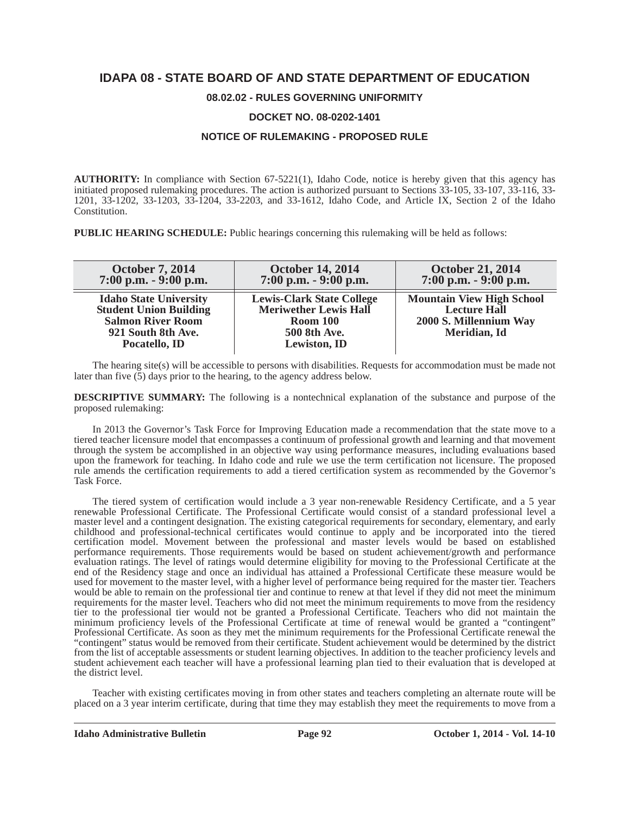# **IDAPA 08 - STATE BOARD OF AND STATE DEPARTMENT OF EDUCATION**

### **08.02.02 - RULES GOVERNING UNIFORMITY**

#### **DOCKET NO. 08-0202-1401**

### **NOTICE OF RULEMAKING - PROPOSED RULE**

**AUTHORITY:** In compliance with Section 67-5221(1), Idaho Code, notice is hereby given that this agency has initiated proposed rulemaking procedures. The action is authorized pursuant to Sections 33-105, 33-107, 33-116, 33- 1201, 33-1202, 33-1203, 33-1204, 33-2203, and 33-1612, Idaho Code, and Article IX, Section 2 of the Idaho Constitution.

**PUBLIC HEARING SCHEDULE:** Public hearings concerning this rulemaking will be held as follows:

| <b>October 7, 2014</b><br>$7:00$ p.m. $-9:00$ p.m.                                                                                | <b>October 14, 2014</b><br>$7:00$ p.m. $-9:00$ p.m.                                                                        | <b>October 21, 2014</b><br>$7:00$ p.m. $-9:00$ p.m.                                               |
|-----------------------------------------------------------------------------------------------------------------------------------|----------------------------------------------------------------------------------------------------------------------------|---------------------------------------------------------------------------------------------------|
| <b>Idaho State University</b><br><b>Student Union Building</b><br><b>Salmon River Room</b><br>921 South 8th Ave.<br>Pocatello, ID | <b>Lewis-Clark State College</b><br><b>Meriwether Lewis Hall</b><br><b>Room 100</b><br>500 8th Ave.<br><b>Lewiston, ID</b> | <b>Mountain View High School</b><br><b>Lecture Hall</b><br>2000 S. Millennium Way<br>Meridian, Id |

The hearing site(s) will be accessible to persons with disabilities. Requests for accommodation must be made not later than five (5) days prior to the hearing, to the agency address below.

**DESCRIPTIVE SUMMARY:** The following is a nontechnical explanation of the substance and purpose of the proposed rulemaking:

In 2013 the Governor's Task Force for Improving Education made a recommendation that the state move to a tiered teacher licensure model that encompasses a continuum of professional growth and learning and that movement through the system be accomplished in an objective way using performance measures, including evaluations based upon the framework for teaching. In Idaho code and rule we use the term certification not licensure. The proposed rule amends the certification requirements to add a tiered certification system as recommended by the Governor's Task Force.

The tiered system of certification would include a 3 year non-renewable Residency Certificate, and a 5 year renewable Professional Certificate. The Professional Certificate would consist of a standard professional level a master level and a contingent designation. The existing categorical requirements for secondary, elementary, and early childhood and professional-technical certificates would continue to apply and be incorporated into the tiered certification model. Movement between the professional and master levels would be based on established performance requirements. Those requirements would be based on student achievement/growth and performance evaluation ratings. The level of ratings would determine eligibility for moving to the Professional Certificate at the end of the Residency stage and once an individual has attained a Professional Certificate these measure would be used for movement to the master level, with a higher level of performance being required for the master tier. Teachers would be able to remain on the professional tier and continue to renew at that level if they did not meet the minimum requirements for the master level. Teachers who did not meet the minimum requirements to move from the residency tier to the professional tier would not be granted a Professional Certificate. Teachers who did not maintain the minimum proficiency levels of the Professional Certificate at time of renewal would be granted a "contingent" Professional Certificate. As soon as they met the minimum requirements for the Professional Certificate renewal the "contingent" status would be removed from their certificate. Student achievement would be determined by the district from the list of acceptable assessments or student learning objectives. In addition to the teacher proficiency levels and student achievement each teacher will have a professional learning plan tied to their evaluation that is developed at the district level.

Teacher with existing certificates moving in from other states and teachers completing an alternate route will be placed on a 3 year interim certificate, during that time they may establish they meet the requirements to move from a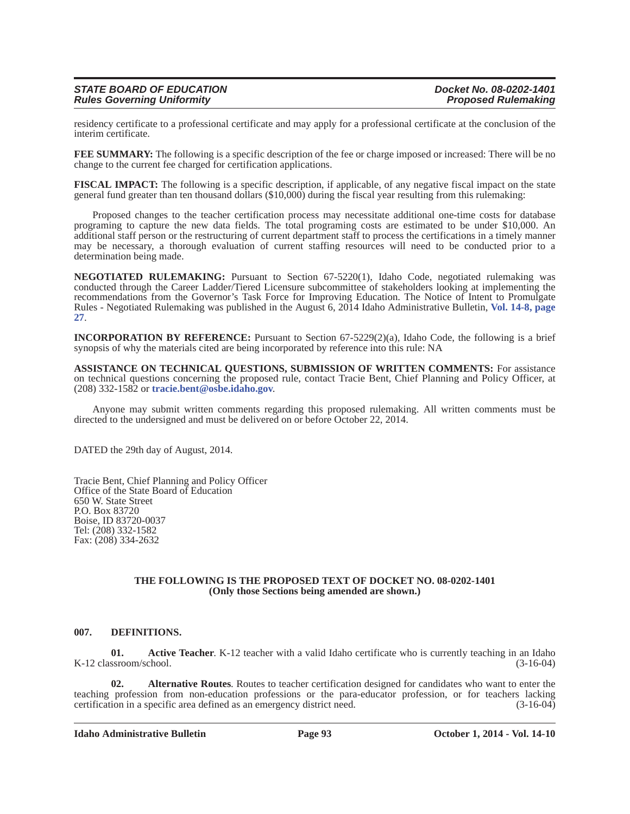| <b>STATE BOARD OF EDUCATION</b>   | Docket No. 08-0202-1401    |
|-----------------------------------|----------------------------|
| <b>Rules Governing Uniformity</b> | <b>Proposed Rulemaking</b> |

residency certificate to a professional certificate and may apply for a professional certificate at the conclusion of the interim certificate.

**FEE SUMMARY:** The following is a specific description of the fee or charge imposed or increased: There will be no change to the current fee charged for certification applications.

**FISCAL IMPACT:** The following is a specific description, if applicable, of any negative fiscal impact on the state general fund greater than ten thousand dollars (\$10,000) during the fiscal year resulting from this rulemaking:

Proposed changes to the teacher certification process may necessitate additional one-time costs for database programing to capture the new data fields. The total programing costs are estimated to be under \$10,000. An additional staff person or the restructuring of current department staff to process the certifications in a timely manner may be necessary, a thorough evaluation of current staffing resources will need to be conducted prior to a determination being made.

**NEGOTIATED RULEMAKING:** Pursuant to Section 67-5220(1), Idaho Code, negotiated rulemaking was conducted through the Career Ladder/Tiered Licensure subcommittee of stakeholders looking at implementing the recommendations from the Governor's Task Force for Improving Education. The Notice of Intent to Promulgate Rules - Negotiated Rulemaking was published in the August 6, 2014 Idaho Administrative Bulletin, **Vol. 14-8, page 27**.

**INCORPORATION BY REFERENCE:** Pursuant to Section 67-5229(2)(a), Idaho Code, the following is a brief synopsis of why the materials cited are being incorporated by reference into this rule: NA

**ASSISTANCE ON TECHNICAL QUESTIONS, SUBMISSION OF WRITTEN COMMENTS:** For assistance on technical questions concerning the proposed rule, contact Tracie Bent, Chief Planning and Policy Officer, at (208) 332-1582 or **tracie.bent@osbe.idaho.gov**.

Anyone may submit written comments regarding this proposed rulemaking. All written comments must be directed to the undersigned and must be delivered on or before October 22, 2014.

DATED the 29th day of August, 2014.

Tracie Bent, Chief Planning and Policy Officer Office of the State Board of Education 650 W. State Street P.O. Box 83720 Boise, ID 83720-0037 Tel: (208) 332-1582 Fax: (208) 334-2632

#### **THE FOLLOWING IS THE PROPOSED TEXT OF DOCKET NO. 08-0202-1401 (Only those Sections being amended are shown.)**

#### **007. DEFINITIONS.**

**01.** Active Teacher. K-12 teacher with a valid Idaho certificate who is currently teaching in an Idaho K-12 classroom/school. (3-16-04)

**02. Alternative Routes**. Routes to teacher certification designed for candidates who want to enter the teaching profession from non-education professions or the para-educator profession, or for teachers lacking certification in a specific area defined as an emergency district need. (3-16-04)

**Idaho Administrative Bulletin Page 93 October 1, 2014 - Vol. 14-10**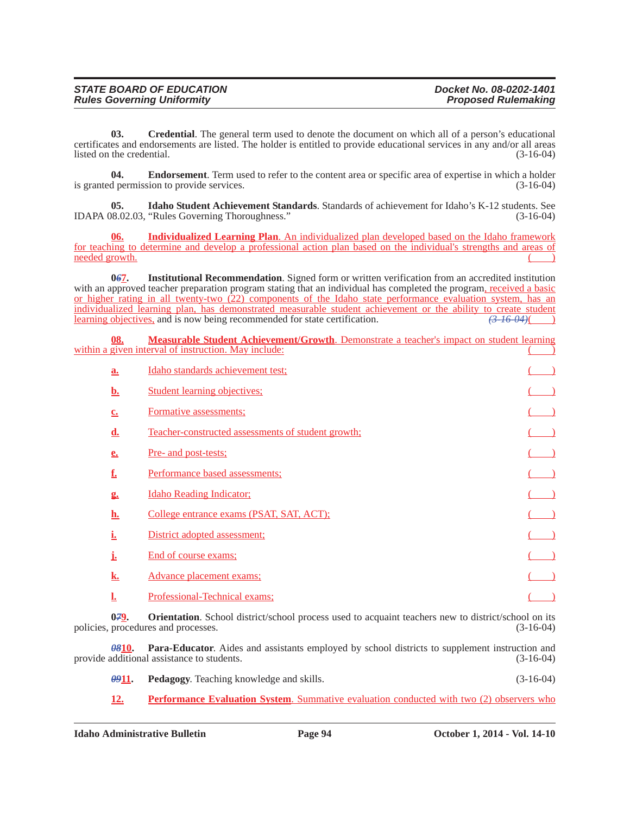| <b>STATE BOARD OF EDUCATION</b>   | Docket No. 08-0202-1401    |
|-----------------------------------|----------------------------|
| <b>Rules Governing Uniformity</b> | <b>Proposed Rulemaking</b> |

**03.** Credential. The general term used to denote the document on which all of a person's educational certificates and endorsements are listed. The holder is entitled to provide educational services in any and/or all areas listed on the credential.

**04. Endorsement**. Term used to refer to the content area or specific area of expertise in which a holder d permission to provide services. (3-16-04) is granted permission to provide services.

**05. Idaho Student Achievement Standards**. Standards of achievement for Idaho's K-12 students. See IDAPA 08.02.03, "Rules Governing Thoroughness." (3-16-04)

**06. Individualized Learning Plan**. An individualized plan developed based on the Idaho framework for teaching to determine and develop a professional action plan based on the individual's strengths and areas of needed growth.

**067.** Institutional Recommendation. Signed form or written verification from an accredited institution with an approved teacher preparation program stating that an individual has completed the program, received a basic or higher rating in all twenty-two (22) components of the Idaho state performance evaluation system, has an individualized learning plan, has demonstrated measurable student achievement or the ability to create student learning objectives, and is now being recommended for state certification. *(3-16-04)*( )

**08. Measurable Student Achievement/Growth**. Demonstrate a teacher's impact on student learning within a given interval of instruction. May include:

| a.                     | Idaho standards achievement test;                  |  |
|------------------------|----------------------------------------------------|--|
| b.                     | <b>Student learning objectives:</b>                |  |
| c <sub>1</sub>         | Formative assessments;                             |  |
| d.                     | Teacher-constructed assessments of student growth; |  |
| e.                     | Pre- and post-tests;                               |  |
| f.                     | Performance based assessments;                     |  |
| $\mathbf{g}_{\bullet}$ | <b>Idaho Reading Indicator</b>                     |  |
| h.                     | College entrance exams (PSAT, SAT, ACT);           |  |
| <u>ı.</u>              | District adopted assessment:                       |  |
|                        | End of course exams;                               |  |
| k.                     | Advance placement exams:                           |  |
| <u>ı.</u>              | Professional-Technical exams;                      |  |

**079.** Orientation. School district/school process used to acquaint teachers new to district/school on its procedures and processes.  $(3-16-04)$ policies, procedures and processes.

*08***10. Para-Educator**. Aides and assistants employed by school districts to supplement instruction and provide additional assistance to students. (3-16-04)

*09***11. Pedagogy**. Teaching knowledge and skills. (3-16-04)

**12. Performance Evaluation System**. Summative evaluation conducted with two (2) observers who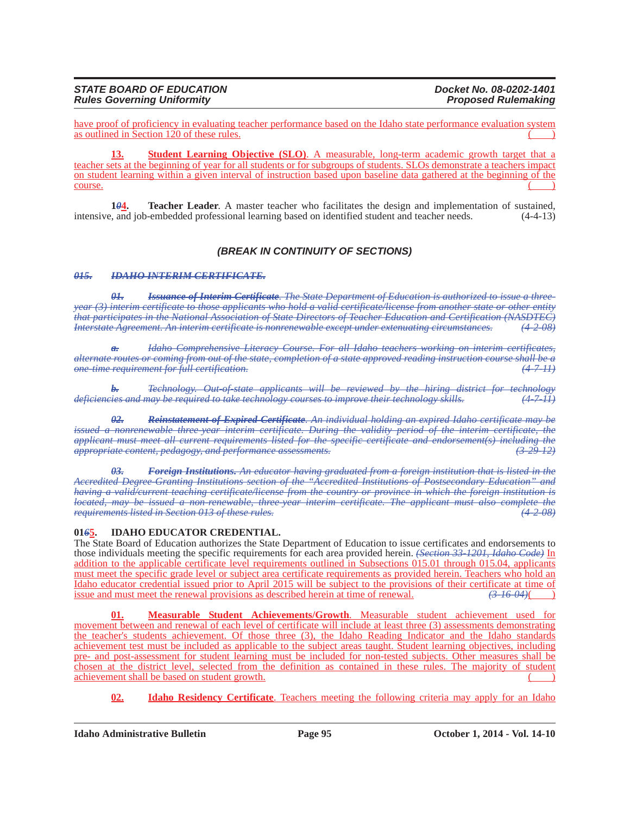#### *STATE BOARD OF EDUCATION Docket No. 08-0202-1401 Rules Governing Uniformity*

have proof of proficiency in evaluating teacher performance based on the Idaho state performance evaluation system as outlined in Section  $120$  of these rules.

**Student Learning Objective (SLO).** A measurable, long-term academic growth target that a teacher sets at the beginning of year for all students or for subgroups of students. SLOs demonstrate a teachers impact on student learning within a given interval of instruction based upon baseline data gathered at the beginning of the  $\frac{1}{2}$  course.

**1***0***4. Teacher Leader**. A master teacher who facilitates the design and implementation of sustained, intensive, and job-embedded professional learning based on identified student and teacher needs. (4-4-13)

# *(BREAK IN CONTINUITY OF SECTIONS)*

#### *015. IDAHO INTERIM CERTIFICATE.*

*01. Issuance of Interim Certificate. The State Department of Education is authorized to issue a threeyear (3) interim certificate to those applicants who hold a valid certificate/license from another state or other entity that participates in the National Association of State Directors of Teacher Education and Certification (NASDTEC) Interstate Agreement. An interim certificate is nonrenewable except under extenuating circumstances. (4-2-08)*

*a. Idaho Comprehensive Literacy Course. For all Idaho teachers working on interim certificates, alternate routes or coming from out of the state, completion of a state approved reading instruction course shall be a one-time requirement for full certification. (4-7-11)*

*b. Technology. Out-of-state applicants will be reviewed by the hiring district for technology deficiencies and may be required to take technology courses to improve their technology skills. (4-7-11)*

*02. Reinstatement of Expired Certificate. An individual holding an expired Idaho certificate may be issued a nonrenewable three year interim certificate. During the validity period of the interim certificate, the applicant must meet all current requirements listed for the specific certificate and endorsement(s) including the appropriate content, pedagogy, and performance assessments. (3-29-12)*

*03. Foreign Institutions. An educator having graduated from a foreign institution that is listed in the Accredited Degree-Granting Institutions section of the "Accredited Institutions of Postsecondary Education" and having a valid/current teaching certificate/license from the country or province in which the foreign institution is located, may be issued a non-renewable, three-year interim certificate. The applicant must also complete the requirements listed in Section 013 of these rules.* 

### **01***6***5. IDAHO EDUCATOR CREDENTIAL.**

The State Board of Education authorizes the State Department of Education to issue certificates and endorsements to those individuals meeting the specific requirements for each area provided herein. *(Section 33-1201, Idaho Code)* In addition to the applicable certificate level requirements outlined in Subsections 015.01 through 015.04, applicants must meet the specific grade level or subject area certificate requirements as provided herein. Teachers who hold an Idaho educator credential issued prior to April 2015 will be subject to the provisions of their certificate at time of issue and must meet the renewal provisions as described herein at time of renewal. *(3-16-04)*( )

**01. Measurable Student Achievements/Growth**. Measurable student achievement used for movement between and renewal of each level of certificate will include at least three (3) assessments demonstrating the teacher's students achievement. Of those three (3), the Idaho Reading Indicator and the Idaho standards achievement test must be included as applicable to the subject areas taught. Student learning objectives, including pre- and post-assessment for student learning must be included for non-tested subjects. Other measures shall be chosen at the district level, selected from the definition as contained in these rules. The majority of student achievement shall be based on student growth.  $($ 

**02. Idaho Residency Certificate**. Teachers meeting the following criteria may apply for an Idaho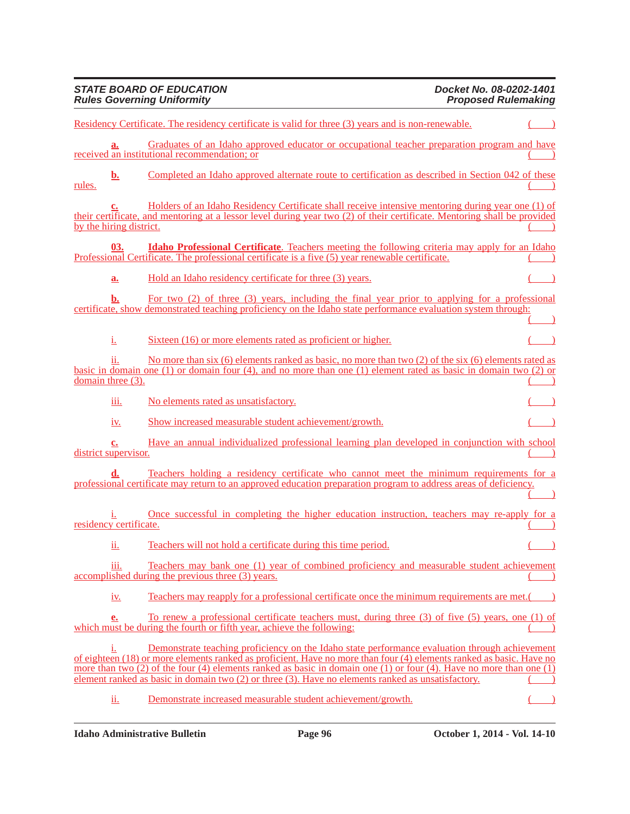|        |                                   | Residency Certificate. The residency certificate is valid for three (3) years and is non-renewable.                                                                                                                                                                                                                                                                                                                                                 |  |
|--------|-----------------------------------|-----------------------------------------------------------------------------------------------------------------------------------------------------------------------------------------------------------------------------------------------------------------------------------------------------------------------------------------------------------------------------------------------------------------------------------------------------|--|
|        | a.                                | Graduates of an Idaho approved educator or occupational teacher preparation program and have<br>received an institutional recommendation; or                                                                                                                                                                                                                                                                                                        |  |
| rules. | <u>b.</u>                         | Completed an Idaho approved alternate route to certification as described in Section 042 of these                                                                                                                                                                                                                                                                                                                                                   |  |
|        | by the hiring district.           | Holders of an Idaho Residency Certificate shall receive intensive mentoring during year one (1) of<br>their certificate, and mentoring at a lessor level during year two (2) of their certificate. Mentoring shall be provided                                                                                                                                                                                                                      |  |
|        | 03.                               | <b>Idaho Professional Certificate</b> . Teachers meeting the following criteria may apply for an Idaho<br>Professional Certificate. The professional certificate is a five (5) year renewable certificate.                                                                                                                                                                                                                                          |  |
|        | a.                                | Hold an Idaho residency certificate for three (3) years.                                                                                                                                                                                                                                                                                                                                                                                            |  |
|        | b.                                | For two $(2)$ of three $(3)$ years, including the final year prior to applying for a professional<br>certificate, show demonstrated teaching proficiency on the Idaho state performance evaluation system through:                                                                                                                                                                                                                                  |  |
|        | i.                                | Sixteen (16) or more elements rated as proficient or higher.                                                                                                                                                                                                                                                                                                                                                                                        |  |
|        | ii.<br>domain three $(3)$ .       | No more than six (6) elements ranked as basic, no more than two (2) of the six (6) elements rated as<br>basic in domain one (1) or domain four (4), and no more than one (1) element rated as basic in domain two (2) or                                                                                                                                                                                                                            |  |
|        | iii.                              | No elements rated as unsatisfactory.                                                                                                                                                                                                                                                                                                                                                                                                                |  |
|        | <u>1V.</u>                        | Show increased measurable student achievement/growth.                                                                                                                                                                                                                                                                                                                                                                                               |  |
|        | <u>c.</u><br>district supervisor. | Have an annual individualized professional learning plan developed in conjunction with school                                                                                                                                                                                                                                                                                                                                                       |  |
|        |                                   | Teachers holding a residency certificate who cannot meet the minimum requirements for a<br>professional certificate may return to an approved education preparation program to address areas of deficiency.                                                                                                                                                                                                                                         |  |
|        | residency certificate.            | <u>Once successful in completing the higher education instruction, teachers may re-apply for a</u>                                                                                                                                                                                                                                                                                                                                                  |  |
|        | <u>іі.</u>                        | Teachers will not hold a certificate during this time period.                                                                                                                                                                                                                                                                                                                                                                                       |  |
|        | iii.                              | Teachers may bank one (1) year of combined proficiency and measurable student achievement<br>accomplished during the previous three (3) years.                                                                                                                                                                                                                                                                                                      |  |
|        | <u>iv.</u>                        | Teachers may reapply for a professional certificate once the minimum requirements are met.                                                                                                                                                                                                                                                                                                                                                          |  |
|        | e.                                | To renew a professional certificate teachers must, during three (3) of five (5) years, one (1) of<br>which must be during the fourth or fifth year, achieve the following:                                                                                                                                                                                                                                                                          |  |
|        | 1.                                | Demonstrate teaching proficiency on the Idaho state performance evaluation through achievement<br>of eighteen (18) or more elements ranked as proficient. Have no more than four (4) elements ranked as basic. Have no<br>more than two (2) of the four (4) elements ranked as basic in domain one (1) or four (4). Have no more than one (1)<br>element ranked as basic in domain two (2) or three (3). Have no elements ranked as unsatisfactory. |  |
|        | <u>іі.</u>                        | Demonstrate increased measurable student achievement/growth.                                                                                                                                                                                                                                                                                                                                                                                        |  |

*STATE BOARD OF EDUCATION Docket No. 08-0202-1401 Rules Governing Uniformity Proposed Rulemaking*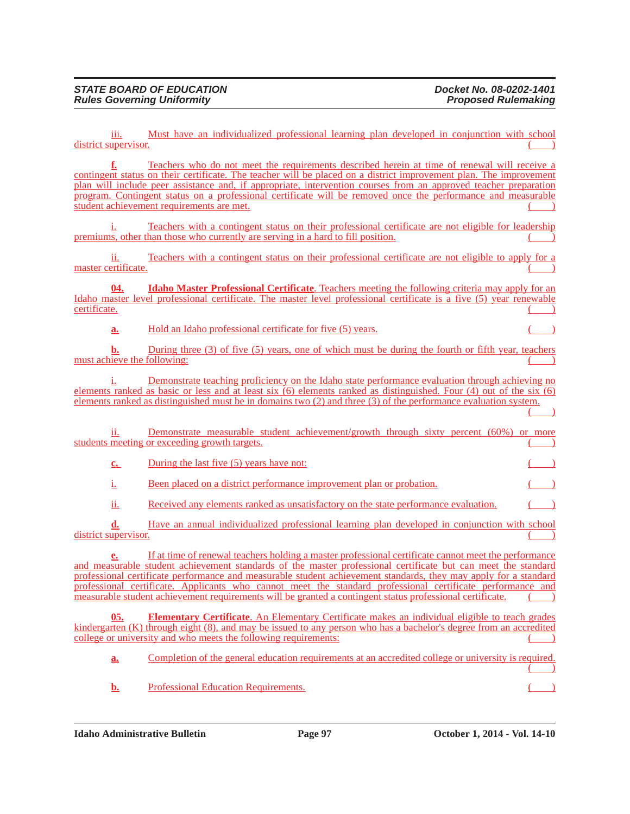$($   $)$ 

iii. Must have an individualized professional learning plan developed in conjunction with school district supervisor.

**f.** Teachers who do not meet the requirements described herein at time of renewal will receive a contingent status on their certificate. The teacher will be placed on a district improvement plan. The improvement plan will include peer assistance and, if appropriate, intervention courses from an approved teacher preparation program. Contingent status on a professional certificate will be removed once the performance and measurable student achievement requirements are met. ( )

i. Teachers with a contingent status on their professional certificate are not eligible for leadership premiums, other than those who currently are serving in a hard to fill position.

ii. Teachers with a contingent status on their professional certificate are not eligible to apply for a master certificate.

**04. Idaho Master Professional Certificate**. Teachers meeting the following criteria may apply for an Idaho master level professional certificate. The master level professional certificate is a five (5) year renewable certificate. ( )

**a.** Hold an Idaho professional certificate for five (5) years.

**b.** During three (3) of five (5) years, one of which must be during the fourth or fifth year, teachers must achieve the following:

i. Demonstrate teaching proficiency on the Idaho state performance evaluation through achieving no elements ranked as basic or less and at least six (6) elements ranked as distinguished. Four (4) out of the six (6) elements ranked as distinguished must be in domains two (2) and three (3) of the performance evaluation system.

ii. Demonstrate measurable student achievement/growth through sixty percent (60%) or more students meeting or exceeding growth targets.

**c.** During the last five (5) years have not:

i. Been placed on a district performance improvement plan or probation.

ii. Received any elements ranked as unsatisfactory on the state performance evaluation.

**d.** Have an annual individualized professional learning plan developed in conjunction with school district supervisor.

**e.** If at time of renewal teachers holding a master professional certificate cannot meet the performance and measurable student achievement standards of the master professional certificate but can meet the standard professional certificate performance and measurable student achievement standards, they may apply for a standard professional certificate. Applicants who cannot meet the standard professional certificate performance and measurable student achievement requirements will be granted a contingent status professional certificate.

**05. Elementary Certificate**. An Elementary Certificate makes an individual eligible to teach grades kindergarten (K) through eight (8), and may be issued to any person who has a bachelor's degree from an accredited college or university and who meets the following requirements:

**a.** Completion of the general education requirements at an accredited college or university is required.  $($ 

**b.** Professional Education Requirements.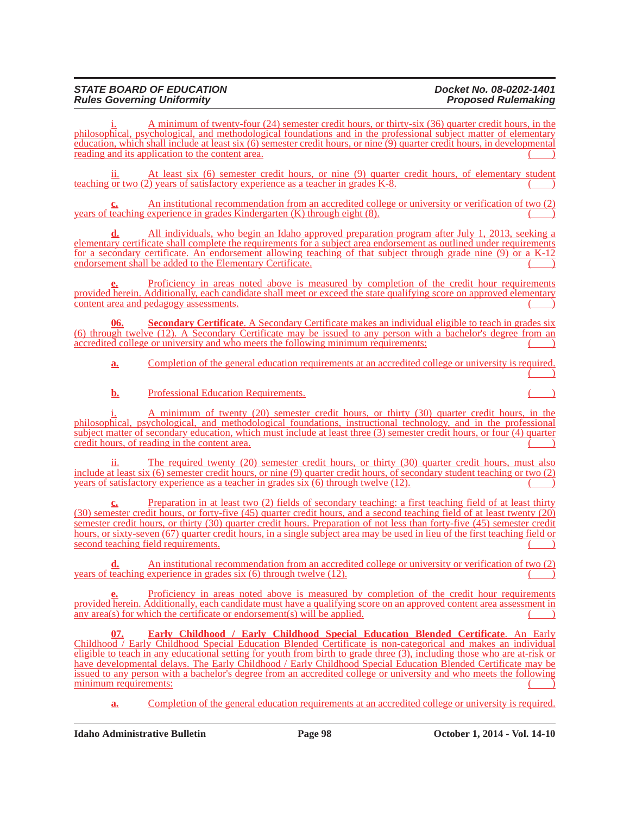#### *STATE BOARD OF EDUCATION Docket No. 08-0202-1401 Rules Governing Uniformity*

A minimum of twenty-four (24) semester credit hours, or thirty-six (36) quarter credit hours, in the philosophical, psychological, and methodological foundations and in the professional subject matter of elementary education, which shall include at least six (6) semester credit hours, or nine (9) quarter credit hours, in developmental reading and its application to the content area.

ii. At least six (6) semester credit hours, or nine (9) quarter credit hours, of elementary student teaching or two  $(2)$  years of satisfactory experience as a teacher in grades K-8.

**c.** An institutional recommendation from an accredited college or university or verification of two (2) years of teaching experience in grades Kindergarten  $(K)$  through eight  $(8)$ .

**d.** All individuals, who begin an Idaho approved preparation program after July 1, 2013, seeking a elementary certificate shall complete the requirements for a subject area endorsement as outlined under requirements for a secondary certificate. An endorsement allowing teaching of that subject through grade nine (9) or a K-12 endorsement shall be added to the Elementary Certificate.

Proficiency in areas noted above is measured by completion of the credit hour requirements provided herein. Additionally, each candidate shall meet or exceed the state qualifying score on approved elementary content area and pedagogy assessments.

**06. Secondary Certificate**. A Secondary Certificate makes an individual eligible to teach in grades six (6) through twelve (12). A Secondary Certificate may be issued to any person with a bachelor's degree from an accredited college or university and who meets the following minimum requirements:

**a.** Completion of the general education requirements at an accredited college or university is required.  $($   $)$ 

**b.** Professional Education Requirements.

i. A minimum of twenty (20) semester credit hours, or thirty (30) quarter credit hours, in the philosophical, psychological, and methodological foundations, instructional technology, and in the professional subject matter of secondary education, which must include at least three (3) semester credit hours, or four (4) quarter credit hours, of reading in the content area.

ii. The required twenty (20) semester credit hours, or thirty (30) quarter credit hours, must also include at least six (6) semester credit hours, or nine (9) quarter credit hours, of secondary student teaching or two (2) years of satisfactory experience as a teacher in grades six  $(6)$  through twelve  $(12)$ .

**c.** Preparation in at least two (2) fields of secondary teaching: a first teaching field of at least thirty (30) semester credit hours, or forty-five (45) quarter credit hours, and a second teaching field of at least twenty (20) semester credit hours, or thirty (30) quarter credit hours. Preparation of not less than forty-five (45) semester credit hours, or sixty-seven (67) quarter credit hours, in a single subject area may be used in lieu of the first teaching field or second teaching field requirements.

**d.** An institutional recommendation from an accredited college or university or verification of two (2) years of teaching experience in grades six  $(6)$  through twelve  $(12)$ .

Proficiency in areas noted above is measured by completion of the credit hour requirements provided herein. Additionally, each candidate must have a qualifying score on an approved content area assessment in any  $area(s)$  for which the certificate or endorsement(s) will be applied.

**07. Early Childhood / Early Childhood Special Education Blended Certificate**. An Early Childhood / Early Childhood Special Education Blended Certificate is non-categorical and makes an individual eligible to teach in any educational setting for youth from birth to grade three (3), including those who are at-risk or have developmental delays. The Early Childhood / Early Childhood Special Education Blended Certificate may be issued to any person with a bachelor's degree from an accredited college or university and who meets the following minimum requirements:

**a.** Completion of the general education requirements at an accredited college or university is required.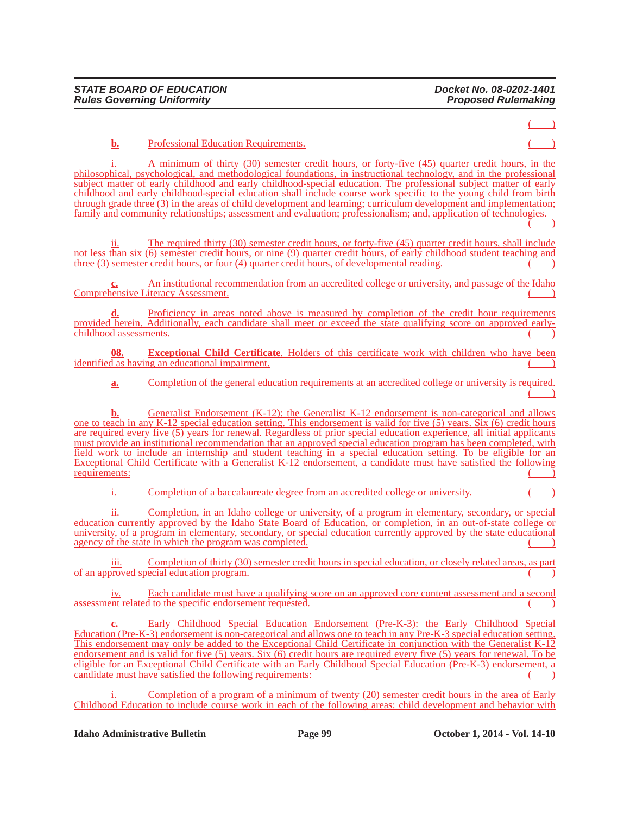$($ 

**b.** Professional Education Requirements.

i. A minimum of thirty (30) semester credit hours, or forty-five (45) quarter credit hours, in the philosophical, psychological, and methodological foundations, in instructional technology, and in the professional subject matter of early childhood and early childhood-special education. The professional subject matter of early childhood and early childhood-special education shall include course work specific to the young child from birth through grade three (3) in the areas of child development and learning; curriculum development and implementation; family and community relationships; assessment and evaluation; professionalism; and, application of technologies.

 $\begin{pmatrix} \end{pmatrix}$ 

ii. The required thirty (30) semester credit hours, or forty-five (45) quarter credit hours, shall include not less than six (6) semester credit hours, or nine (9) quarter credit hours, of early childhood student teaching and three  $(3)$  semester credit hours, or four  $(4)$  quarter credit hours, of developmental reading.

**c.** An institutional recommendation from an accredited college or university, and passage of the Idaho Comprehensive Literacy Assessment.

**d.** Proficiency in areas noted above is measured by completion of the credit hour requirements provided herein. Additionally, each candidate shall meet or exceed the state qualifying score on approved earlychildhood assessments.

**08. Exceptional Child Certificate**. Holders of this certificate work with children who have been  $i$ dentified as having an educational impairment.

**a.** Completion of the general education requirements at an accredited college or university is required.  $\begin{pmatrix} 1 & 1 \\ 1 & 1 \end{pmatrix}$ 

**b.** Generalist Endorsement (K-12): the Generalist K-12 endorsement is non-categorical and allows one to teach in any K-12 special education setting. This endorsement is valid for five (5) years. Six (6) credit hours are required every five (5) years for renewal. Regardless of prior special education experience, all initial applicants must provide an institutional recommendation that an approved special education program has been completed, with field work to include an internship and student teaching in a special education setting. To be eligible for an Exceptional Child Certificate with a Generalist K-12 endorsement, a candidate must have satisfied the following requirements:

i. Completion of a baccalaureate degree from an accredited college or university.

ii. Completion, in an Idaho college or university, of a program in elementary, secondary, or special education currently approved by the Idaho State Board of Education, or completion, in an out-of-state college or university, of a program in elementary, secondary, or special education currently approved by the state educational agency of the state in which the program was completed.

iii. Completion of thirty (30) semester credit hours in special education, or closely related areas, as part of an approved special education program. ( )

iv. Each candidate must have a qualifying score on an approved core content assessment and a second assessment related to the specific endorsement requested.

**c.** Early Childhood Special Education Endorsement (Pre-K-3): the Early Childhood Special Education (Pre-K-3) endorsement is non-categorical and allows one to teach in any Pre-K-3 special education setting. This endorsement may only be added to the Exceptional Child Certificate in conjunction with the Generalist K-12 endorsement and is valid for five (5) years. Six (6) credit hours are required every five (5) years for renewal. To be eligible for an Exceptional Child Certificate with an Early Childhood Special Education (Pre-K-3) endorsement, a candidate must have satisfied the following requirements:

Completion of a program of a minimum of twenty (20) semester credit hours in the area of Early Childhood Education to include course work in each of the following areas: child development and behavior with

**Idaho Administrative Bulletin Page 99 October 1, 2014 - Vol. 14-10**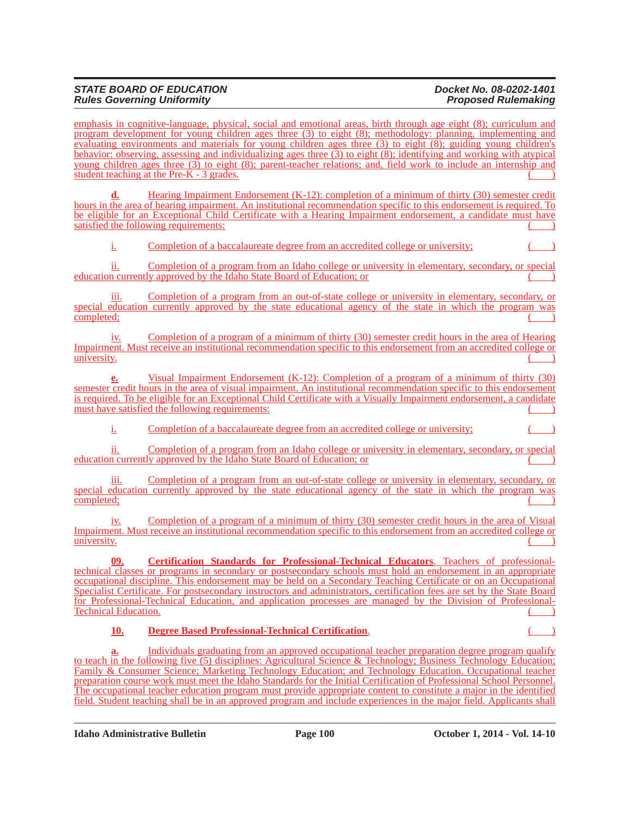#### *STATE BOARD OF EDUCATION Docket No. 08-0202-1401 Rules Governing Uniformity*

emphasis in cognitive-language, physical, social and emotional areas, birth through age eight (8); curriculum and program development for young children ages three (3) to eight (8); methodology: planning, implementing and evaluating environments and materials for young children ages three (3) to eight (8); guiding young children's behavior: observing, assessing and individualizing ages three (3) to eight (8); identifying and working with atypical young children ages three (3) to eight (8); parent-teacher relations; and, field work to include an internship and student teaching at the Pre- $K - 3$  grades.

Hearing Impairment Endorsement (K-12): completion of a minimum of thirty (30) semester credit hours in the area of hearing impairment. An institutional recommendation specific to this endorsement is required. To be eligible for an Exceptional Child Certificate with a Hearing Impairment endorsement, a candidate must have satisfied the following requirements:

i. Completion of a baccalaureate degree from an accredited college or university;

ii. Completion of a program from an Idaho college or university in elementary, secondary, or special education currently approved by the Idaho State Board of Education; or ( )

iii. Completion of a program from an out-of-state college or university in elementary, secondary, or special education currently approved by the state educational agency of the state in which the program was  $\text{completely:}$ 

iv. Completion of a program of a minimum of thirty (30) semester credit hours in the area of Hearing Impairment. Must receive an institutional recommendation specific to this endorsement from an accredited college or  $\overline{\text{university.}}$  ( )

**e.** Visual Impairment Endorsement (K-12): Completion of a program of a minimum of thirty (30) semester credit hours in the area of visual impairment. An institutional recommendation specific to this endorsement is required. To be eligible for an Exceptional Child Certificate with a Visually Impairment endorsement, a candidate must have satisfied the following requirements:

i. Completion of a baccalaureate degree from an accredited college or university;

ii. Completion of a program from an Idaho college or university in elementary, secondary, or special education currently approved by the Idaho State Board of Education; or

iii. Completion of a program from an out-of-state college or university in elementary, secondary, or special education currently approved by the state educational agency of the state in which the program was  $\text{completely:}$ 

iv. Completion of a program of a minimum of thirty (30) semester credit hours in the area of Visual Impairment. Must receive an institutional recommendation specific to this endorsement from an accredited college or<br>  $\overline{\phantom{a}}$  $\overline{\text{university.}}$  ( )

**09. Certification Standards for Professional-Technical Educators**. Teachers of professionaltechnical classes or programs in secondary or postsecondary schools must hold an endorsement in an appropriate occupational discipline. This endorsement may be held on a Secondary Teaching Certificate or on an Occupational Specialist Certificate. For postsecondary instructors and administrators, certification fees are set by the State Board for Professional-Technical Education, and application processes are managed by the Division of Professional-Technical Education.

### **10. Degree Based Professional-Technical Certification.**

Individuals graduating from an approved occupational teacher preparation degree program qualify to teach in the following five (5) disciplines: Agricultural Science & Technology; Business Technology Education; Family & Consumer Science; Marketing Technology Education; and Technology Education. Occupational teacher preparation course work must meet the Idaho Standards for the Initial Certification of Professional School Personnel. The occupational teacher education program must provide appropriate content to constitute a major in the identified field. Student teaching shall be in an approved program and include experiences in the major field. Applicants shall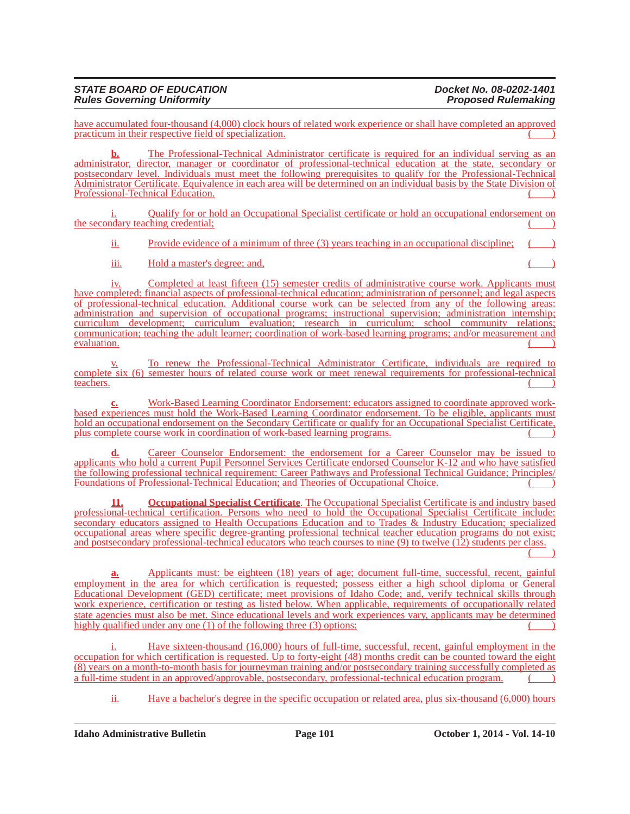#### *STATE BOARD OF EDUCATION Docket No. 08-0202-1401 Rules Governing Uniformity*

have accumulated four-thousand (4,000) clock hours of related work experience or shall have completed an approved practicum in their respective field of specialization.

**b.** The Professional-Technical Administrator certificate is required for an individual serving as an administrator, director, manager or coordinator of professional-technical education at the state, secondary or postsecondary level. Individuals must meet the following prerequisites to qualify for the Professional-Technical Administrator Certificate. Equivalence in each area will be determined on an individual basis by the State Division of Professional-Technical Education.

Qualify for or hold an Occupational Specialist certificate or hold an occupational endorsement on the secondary teaching credential;

ii. Provide evidence of a minimum of three (3) years teaching in an occupational discipline;

iii. Hold a master's degree; and,

iv. Completed at least fifteen (15) semester credits of administrative course work. Applicants must have completed: financial aspects of professional-technical education; administration of personnel; and legal aspects of professional-technical education. Additional course work can be selected from any of the following areas: administration and supervision of occupational programs; instructional supervision; administration internship; curriculum development; curriculum evaluation; research in curriculum; school community relations; communication; teaching the adult learner; coordination of work-based learning programs; and/or measurement and evaluation.  $\alpha$  evaluation.  $\left(\begin{array}{c} \begin{array}{c} \begin{array}{c} \end{array}\\ \end{array}\right)$ 

v. To renew the Professional-Technical Administrator Certificate, individuals are required to complete six (6) semester hours of related course work or meet renewal requirements for professional-technical teachers. teachers. (2002) the contract of the contract of the contract of the contract of the contract of the contract of the contract of the contract of the contract of the contract of the contract of the contract of the contract

**c.** Work-Based Learning Coordinator Endorsement: educators assigned to coordinate approved workbased experiences must hold the Work-Based Learning Coordinator endorsement. To be eligible, applicants must hold an occupational endorsement on the Secondary Certificate or qualify for an Occupational Specialist Certificate, plus complete course work in coordination of work-based learning programs.

**d.** Career Counselor Endorsement: the endorsement for a Career Counselor may be issued to applicants who hold a current Pupil Personnel Services Certificate endorsed Counselor K-12 and who have satisfied the following professional technical requirement: Career Pathways and Professional Technical Guidance; Principles/ Foundations of Professional-Technical Education; and Theories of Occupational Choice. ( )

**11. Occupational Specialist Certificate**. The Occupational Specialist Certificate is and industry based professional-technical certification. Persons who need to hold the Occupational Specialist Certificate include: secondary educators assigned to Health Occupations Education and to Trades & Industry Education; specialized occupational areas where specific degree-granting professional technical teacher education programs do not exist; and postsecondary professional-technical educators who teach courses to nine (9) to twelve (12) students per class.  $($   $)$ 

**a.** Applicants must: be eighteen (18) years of age; document full-time, successful, recent, gainful employment in the area for which certification is requested; possess either a high school diploma or General Educational Development (GED) certificate; meet provisions of Idaho Code; and, verify technical skills through work experience, certification or testing as listed below. When applicable, requirements of occupationally related state agencies must also be met. Since educational levels and work experiences vary, applicants may be determined highly qualified under any one  $(1)$  of the following three  $(3)$  options:

Have sixteen-thousand (16,000) hours of full-time, successful, recent, gainful employment in the occupation for which certification is requested. Up to forty-eight (48) months credit can be counted toward the eight (8) years on a month-to-month basis for journeyman training and/or postsecondary training successfully completed as a full-time student in an approved/approvable, postsecondary, professional-technical education program. ()

ii. Have a bachelor's degree in the specific occupation or related area, plus six-thousand (6,000) hours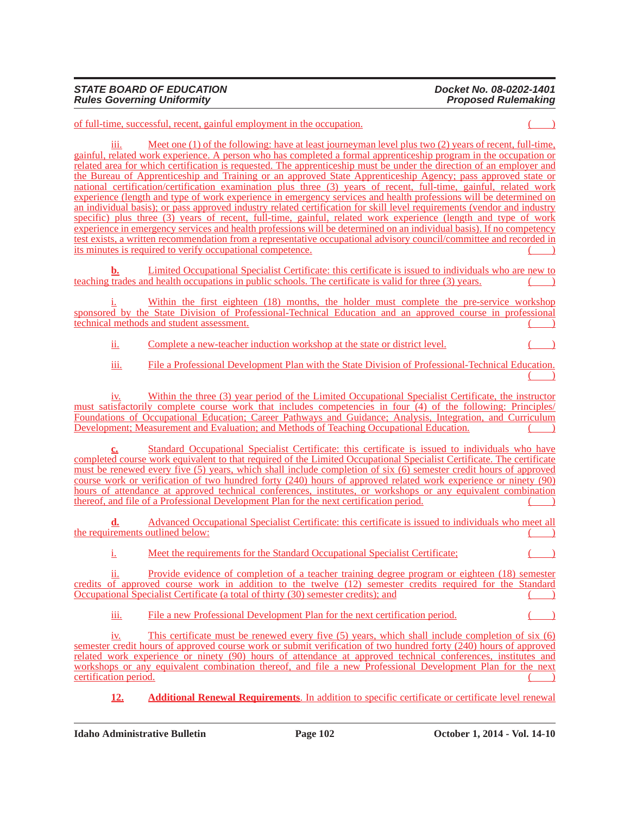of full-time, successful, recent, gainful employment in the occupation. ( )

Meet one (1) of the following: have at least journeyman level plus two (2) years of recent, full-time, gainful, related work experience. A person who has completed a formal apprenticeship program in the occupation or related area for which certification is requested. The apprenticeship must be under the direction of an employer and the Bureau of Apprenticeship and Training or an approved State Apprenticeship Agency; pass approved state or national certification/certification examination plus three (3) years of recent, full-time, gainful, related work experience (length and type of work experience in emergency services and health professions will be determined on an individual basis); or pass approved industry related certification for skill level requirements (vendor and industry specific) plus three (3) years of recent, full-time, gainful, related work experience (length and type of work experience in emergency services and health professions will be determined on an individual basis). If no competency test exists, a written recommendation from a representative occupational advisory council/committee and recorded in its minutes is required to verify occupational competence.

**b.** Limited Occupational Specialist Certificate: this certificate is issued to individuals who are new to teaching trades and health occupations in public schools. The certificate is valid for three (3) years.

Within the first eighteen (18) months, the holder must complete the pre-service workshop sponsored by the State Division of Professional-Technical Education and an approved course in professional technical methods and student assessment.

ii. Complete a new-teacher induction workshop at the state or district level.

iii. File a Professional Development Plan with the State Division of Professional-Technical Education.  $($   $)$ 

iv. Within the three (3) year period of the Limited Occupational Specialist Certificate, the instructor must satisfactorily complete course work that includes competencies in four (4) of the following: Principles/ Foundations of Occupational Education; Career Pathways and Guidance; Analysis, Integration, and Curriculum Development; Measurement and Evaluation; and Methods of Teaching Occupational Education. ( )

Standard Occupational Specialist Certificate: this certificate is issued to individuals who have completed course work equivalent to that required of the Limited Occupational Specialist Certificate. The certificate must be renewed every five (5) years, which shall include completion of six (6) semester credit hours of approved course work or verification of two hundred forty (240) hours of approved related work experience or ninety (90) hours of attendance at approved technical conferences, institutes, or workshops or any equivalent combination thereof, and file of a Professional Development Plan for the next certification period.

**d.** Advanced Occupational Specialist Certificate: this certificate is issued to individuals who meet all the requirements outlined below:

i. Meet the requirements for the Standard Occupational Specialist Certificate;

ii. Provide evidence of completion of a teacher training degree program or eighteen (18) semester credits of approved course work in addition to the twelve (12) semester credits required for the Standard Occupational Specialist Certificate (a total of thirty (30) semester credits); and

iii. File a new Professional Development Plan for the next certification period. ( )

iv. This certificate must be renewed every five (5) years, which shall include completion of six (6) semester credit hours of approved course work or submit verification of two hundred forty (240) hours of approved related work experience or ninety (90) hours of attendance at approved technical conferences, institutes and workshops or any equivalent combination thereof, and file a new Professional Development Plan for the next certification period.

**12. Additional Renewal Requirements**. In addition to specific certificate or certificate level renewal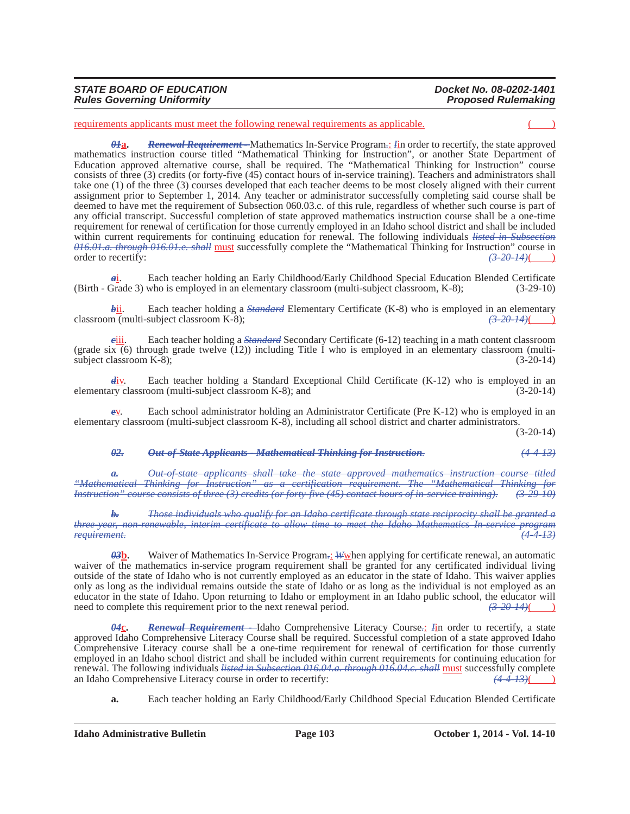| Docket No. 08-0202-1401    |
|----------------------------|
|                            |
| <b>Proposed Rulemaking</b> |
|                            |

requirements applicants must meet the following renewal requirements as applicable.

*01***a.** *Renewal Requirement -* Mathematics In-Service Program*.*: *I*in order to recertify, the state approved mathematics instruction course titled "Mathematical Thinking for Instruction", or another State Department of Education approved alternative course, shall be required. The "Mathematical Thinking for Instruction" course consists of three (3) credits (or forty-five (45) contact hours of in-service training). Teachers and administrators shall take one (1) of the three (3) courses developed that each teacher deems to be most closely aligned with their current assignment prior to September 1, 2014. Any teacher or administrator successfully completing said course shall be deemed to have met the requirement of Subsection 060.03.c. of this rule, regardless of whether such course is part of any official transcript. Successful completion of state approved mathematics instruction course shall be a one-time requirement for renewal of certification for those currently employed in an Idaho school district and shall be included within current requirements for continuing education for renewal. The following individuals *listed in Subsection 016.01.a. through 016.01.e. shall* must successfully complete the "Mathematical Thinking for Instruction" course in order to recertify:  $\left(3, 20, 14\right)$ 

*a*i. Each teacher holding an Early Childhood/Early Childhood Special Education Blended Certificate Grade 3) who is employed in an elementary classroom (multi-subject classroom, K-8); (3-29-10) (Birth - Grade 3) who is employed in an elementary classroom (multi-subject classroom, K-8);

 $\frac{\partial \mathbf{h}}{\partial \mathbf{h}}$ . Each teacher holding a *Standard* Elementary Certificate (K-8) who is employed in an elementary m (multi-subject classroom K-8): classroom (multi-subject classroom K-8);

*c*iii. Each teacher holding a *Standard* Secondary Certificate (6-12) teaching in a math content classroom (grade six (6) through grade twelve  $(12)$ ) including Title I who is employed in an elementary classroom (multisubject classroom K-8); (3-20-14)

*d*iv. Each teacher holding a Standard Exceptional Child Certificate (K-12) who is employed in an elementary classroom (multi-subject classroom K-8); and (3-20-14)

Each school administrator holding an Administrator Certificate (Pre K-12) who is employed in an elementary classroom (multi-subject classroom K-8), including all school district and charter administrators.

 $(3-20-14)$ 

#### *02. Out-of-State Applicants - Mathematical Thinking for Instruction. (4-4-13)*

*a. Out-of-state applicants shall take the state approved mathematics instruction course titled "Mathematical Thinking for Instruction" as a certification requirement. The "Mathematical Thinking for Instruction" course consists of three (3) credits (or forty-five (45) contact hours of in-service training). (3-29-10)*

*b. Those individuals who qualify for an Idaho certificate through state reciprocity shall be granted a three-year, non-renewable, interim certificate to allow time to meet the Idaho Mathematics In-service program requirement. (4-4-13)*

*03***b.** Waiver of Mathematics In-Service Program*.*: *W*when applying for certificate renewal, an automatic waiver of the mathematics in-service program requirement shall be granted for any certificated individual living outside of the state of Idaho who is not currently employed as an educator in the state of Idaho. This waiver applies only as long as the individual remains outside the state of Idaho or as long as the individual is not employed as an educator in the state of Idaho. Upon returning to Idaho or employment in an Idaho public school, the educator will need to complete this requirement prior to the next renewal period.  $\left(3-20-14\right)$ 

*04***c.** *Renewal Requirement -* Idaho Comprehensive Literacy Course*.*: *I*in order to recertify, a state approved Idaho Comprehensive Literacy Course shall be required. Successful completion of a state approved Idaho Comprehensive Literacy course shall be a one-time requirement for renewal of certification for those currently employed in an Idaho school district and shall be included within current requirements for continuing education for renewal. The following individuals *listed in Subsection 016.04.a. through 016.04.e. shall* must successfully complete an Idaho Comprehensive Literacy course in order to recertify:  $\frac{(4-4-13)}{(4-13+1)}$ an Idaho Comprehensive Literacy course in order to recertify: *(4-4-13)*( )

**a.** Each teacher holding an Early Childhood/Early Childhood Special Education Blended Certificate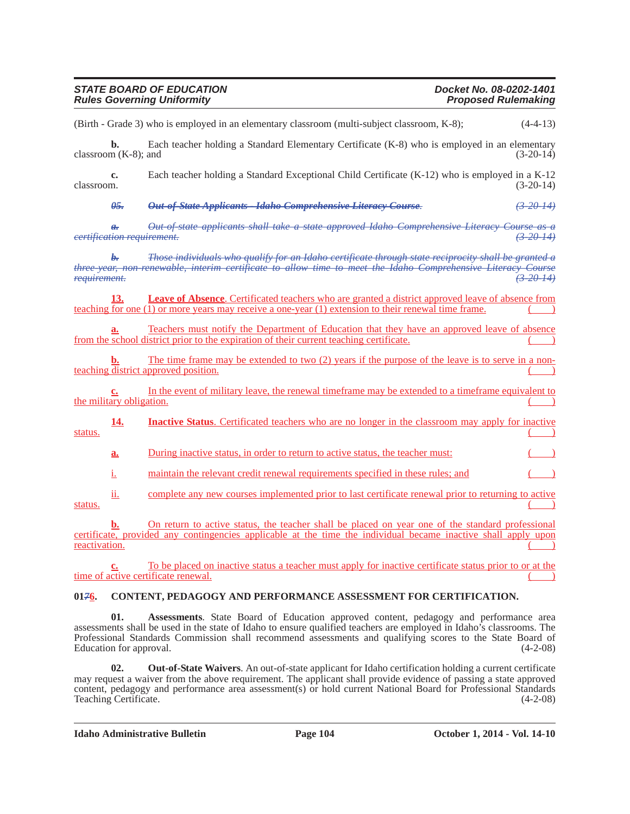| <b>STATE BOARD OF EDUCATION</b>   | Docket No. 08-0202-1401    |
|-----------------------------------|----------------------------|
| <b>Rules Governing Uniformity</b> | <b>Proposed Rulemaking</b> |

(Birth - Grade 3) who is employed in an elementary classroom (multi-subject classroom, K-8); (4-4-13)

**b.** Each teacher holding a Standard Elementary Certificate (K-8) who is employed in an elementary  $\text{classroom (K-8)}$ ; and (3-20-14)

**c.** Each teacher holding a Standard Exceptional Child Certificate (K-12) who is employed in a K-12 classroom.  $(3-20-14)$  $\alpha$ classroom.  $(3-20-14)$ 

*05. Out-of-State Applicants - Idaho Comprehensive Literacy Course. (3-20-14)*

*a. Out-of-state applicants shall take a state approved Idaho Comprehensive Literacy Course as a certification requirement. (3-20-14)*

*b. Those individuals who qualify for an Idaho certificate through state reciprocity shall be granted a three-year, non-renewable, interim certificate to allow time to meet the Idaho Comprehensive Literacy Course requirement. (3-20-14)*

**Leave of Absence**. Certificated teachers who are granted a district approved leave of absence from teaching for one  $(1)$  or more years may receive a one-year  $(1)$  extension to their renewal time frame.

**a.** Teachers must notify the Department of Education that they have an approved leave of absence from the school district prior to the expiration of their current teaching certificate.

**b.** The time frame may be extended to two (2) years if the purpose of the leave is to serve in a nonteaching district approved position.

**c.** In the event of military leave, the renewal timeframe may be extended to a timeframe equivalent to the military obligation.

**14. Inactive Status**. Certificated teachers who are no longer in the classroom may apply for inactive status.  $\qquad \qquad ( )$ 

**a.** During inactive status, in order to return to active status, the teacher must:

i. maintain the relevant credit renewal requirements specified in these rules; and

ii. complete any new courses implemented prior to last certificate renewal prior to returning to active status.  $\qquad \qquad \qquad ( \qquad )$ 

**b.** On return to active status, the teacher shall be placed on year one of the standard professional certificate, provided any contingencies applicable at the time the individual became inactive shall apply upon  $r = \frac{r}{2}$  reactivation.

**c.** To be placed on inactive status a teacher must apply for inactive certificate status prior to or at the time of active certificate renewal.

### **01***7***6. CONTENT, PEDAGOGY AND PERFORMANCE ASSESSMENT FOR CERTIFICATION.**

**01. Assessments**. State Board of Education approved content, pedagogy and performance area assessments shall be used in the state of Idaho to ensure qualified teachers are employed in Idaho's classrooms. The Professional Standards Commission shall recommend assessments and qualifying scores to the State Board of Education for approval. (4-2-08)

**02. Out-of-State Waivers**. An out-of-state applicant for Idaho certification holding a current certificate may request a waiver from the above requirement. The applicant shall provide evidence of passing a state approved content, pedagogy and performance area assessment(s) or hold current National Board for Professional Standards Teaching Certificate. (4-2-08)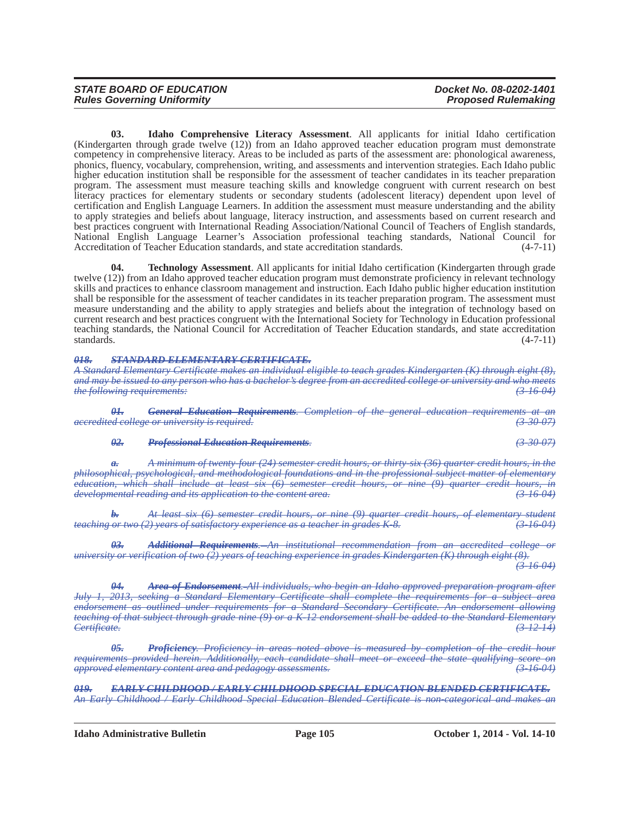| <b>STATE BOARD OF EDUCATION</b>   | Docket No. 08-0202-1401    |
|-----------------------------------|----------------------------|
| <b>Rules Governing Uniformity</b> | <b>Proposed Rulemaking</b> |

**03. Idaho Comprehensive Literacy Assessment**. All applicants for initial Idaho certification (Kindergarten through grade twelve (12)) from an Idaho approved teacher education program must demonstrate competency in comprehensive literacy. Areas to be included as parts of the assessment are: phonological awareness, phonics, fluency, vocabulary, comprehension, writing, and assessments and intervention strategies. Each Idaho public higher education institution shall be responsible for the assessment of teacher candidates in its teacher preparation program. The assessment must measure teaching skills and knowledge congruent with current research on best literacy practices for elementary students or secondary students (adolescent literacy) dependent upon level of certification and English Language Learners. In addition the assessment must measure understanding and the ability to apply strategies and beliefs about language, literacy instruction, and assessments based on current research and best practices congruent with International Reading Association/National Council of Teachers of English standards, National English Language Learner's Association professional teaching standards, National Council for Accreditation of Teacher Education standards, and state accreditation standards.

**04. Technology Assessment**. All applicants for initial Idaho certification (Kindergarten through grade twelve (12)) from an Idaho approved teacher education program must demonstrate proficiency in relevant technology skills and practices to enhance classroom management and instruction. Each Idaho public higher education institution shall be responsible for the assessment of teacher candidates in its teacher preparation program. The assessment must measure understanding and the ability to apply strategies and beliefs about the integration of technology based on current research and best practices congruent with the International Society for Technology in Education professional teaching standards, the National Council for Accreditation of Teacher Education standards, and state accreditation standards. (4-7-11)  $\alpha$  standards.  $(4-7-11)$ 

#### *018. STANDARD ELEMENTARY CERTIFICATE.*

*A Standard Elementary Certificate makes an individual eligible to teach grades Kindergarten (K) through eight (8), and may be issued to any person who has a bachelor's degree from an accredited college or university and who meets the following requirements: (3-16-04)*

*01. General Education Requirements. Completion of the general education requirements at an accredited college or university is required. (3-30-07)*

#### *02. Professional Education Requirements. (3-30-07)*

*a. A minimum of twenty-four (24) semester credit hours, or thirty-six (36) quarter credit hours, in the philosophical, psychological, and methodological foundations and in the professional subject matter of elementary education, which shall include at least six (6) semester credit hours, or nine (9) quarter credit hours, in developmental reading and its application to the content area. (3-16-04)*

*b. At least six (6) semester credit hours, or nine (9) quarter credit hours, of elementary student teaching or two (2) years of satisfactory experience as a teacher in grades K-8.* 

*03. Additional Requirements. An institutional recommendation from an accredited college or university or verification of two (2) years of teaching experience in grades Kindergarten (K) through eight (8). (3-16-04)*

*04. Area of Endorsement. All individuals, who begin an Idaho approved preparation program after July 1, 2013, seeking a Standard Elementary Certificate shall complete the requirements for a subject area endorsement as outlined under requirements for a Standard Secondary Certificate. An endorsement allowing teaching of that subject through grade nine (9) or a K-12 endorsement shall be added to the Standard Elementary Certificate. (3-12-14)*

*05. Proficiency. Proficiency in areas noted above is measured by completion of the credit hour requirements provided herein. Additionally, each candidate shall meet or exceed the state qualifying score on approved elementary content area and pedagogy assessments. approved elementary content area and pedagogy assessments. (3-16-04)*

*019. EARLY CHILDHOOD / EARLY CHILDHOOD SPECIAL EDUCATION BLENDED CERTIFICATE. An Early Childhood / Early Childhood Special Education Blended Certificate is non-categorical and makes an*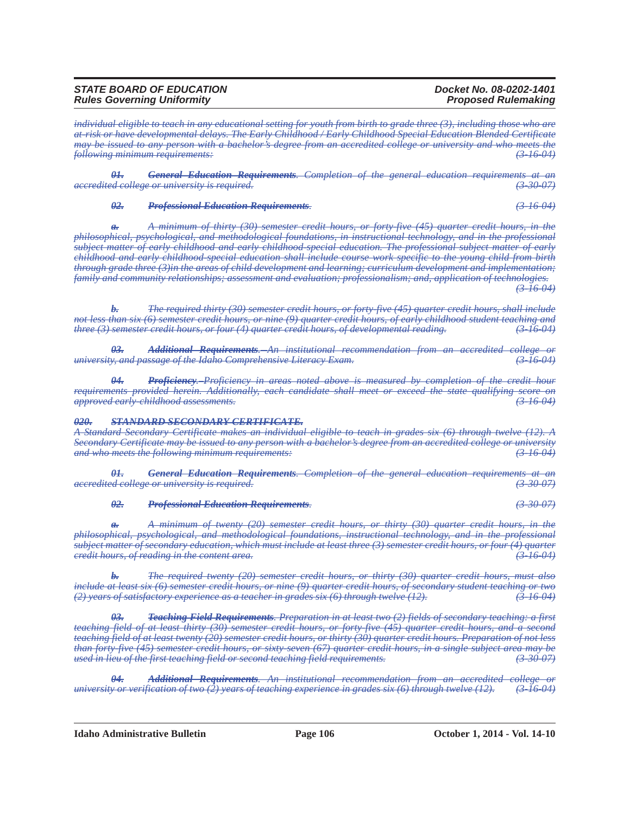| <b>STATE BOARD OF EDUCATION</b>   | Docket No. 08-0202-1401    |
|-----------------------------------|----------------------------|
| <b>Rules Governing Uniformity</b> | <b>Proposed Rulemaking</b> |

*individual eligible to teach in any educational setting for youth from birth to grade three (3), including those who are at-risk or have developmental delays. The Early Childhood / Early Childhood Special Education Blended Certificate may be issued to any person with a bachelor's degree from an accredited college or university and who meets the following minimum requirements: (3-16-04)*

*01. General Education Requirements. Completion of the general education requirements at an accredited college or university is required. (3-30-07)*

#### *02. Professional Education Requirements. (3-16-04)*

*a. A minimum of thirty (30) semester credit hours, or forty-five (45) quarter credit hours, in the philosophical, psychological, and methodological foundations, in instructional technology, and in the professional subject matter of early childhood and early childhood-special education. The professional subject matter of early childhood and early childhood-special education shall include course work specific to the young child from birth through grade three (3)in the areas of child development and learning; curriculum development and implementation; family and community relationships; assessment and evaluation; professionalism; and, application of technologies. (3-16-04)*

*b. The required thirty (30) semester credit hours, or forty-five (45) quarter credit hours, shall include not less than six (6) semester credit hours, or nine (9) quarter credit hours, of early childhood student teaching and three (3) semester credit hours, or four (4) quarter credit hours, of developmental reading. (3-16-04)*

*03. Additional Requirements. An institutional recommendation from an accredited college or university, and passage of the Idaho Comprehensive Literacy Exam. (3-16-04)*

*04. Proficiency. Proficiency in areas noted above is measured by completion of the credit hour requirements provided herein. Additionally, each candidate shall meet or exceed the state qualifying score on*<br>*approved early-childhood assessments*. *approved early-childhood assessments. (3-16-04)*

#### *020. STANDARD SECONDARY CERTIFICATE.*

*A Standard Secondary Certificate makes an individual eligible to teach in grades six (6) through twelve (12). A Secondary Certificate may be issued to any person with a bachelor's degree from an accredited college or university and who meets the following minimum requirements: (3-16-04)*

*01. General Education Requirements. Completion of the general education requirements at an accredited college or university is required. (3-30-07)*

#### *02. Professional Education Requirements. (3-30-07)*

*a. A minimum of twenty (20) semester credit hours, or thirty (30) quarter credit hours, in the philosophical, psychological, and methodological foundations, instructional technology, and in the professional subject matter of secondary education, which must include at least three (3) semester credit hours, or four (4) quarter credit hours, of reading in the content area. (3-16-04)*

*b. The required twenty (20) semester credit hours, or thirty (30) quarter credit hours, must also include at least six (6) semester credit hours, or nine (9) quarter credit hours, of secondary student teaching or two (2) years of satisfactory experience as a teacher in grades six (6) through twelve (12). (3-16-04)*

*03. Teaching Field Requirements. Preparation in at least two (2) fields of secondary teaching: a first teaching field of at least thirty (30) semester credit hours, or forty-five (45) quarter credit hours, and a second teaching field of at least twenty (20) semester credit hours, or thirty (30) quarter credit hours. Preparation of not less than forty-five (45) semester credit hours, or sixty-seven (67) quarter credit hours, in a single subject area may be used in lieu of the first teaching field or second teaching field requirements. (3-30-07)*

*04. Additional Requirements. An institutional recommendation from an accredited college or university or verification of two (2) years of teaching experience in grades six (6) through twelve (12).* 

**Idaho Administrative Bulletin Page 106 October 1, 2014 - Vol. 14-10**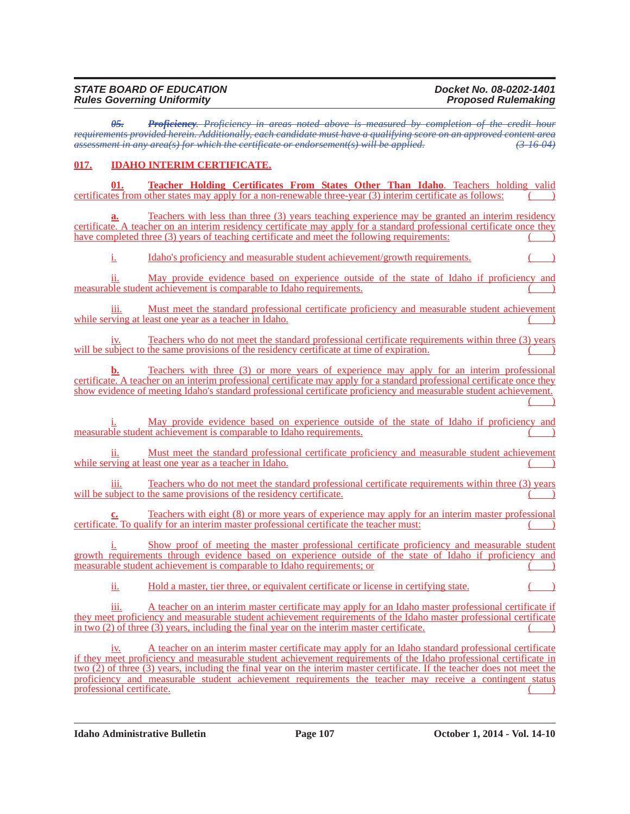#### *STATE BOARD OF EDUCATION Docket No. 08-0202-1401 Rules Governing Uniformity*

*05. Proficiency. Proficiency in areas noted above is measured by completion of the credit hour requirements provided herein. Additionally, each candidate must have a qualifying score on an approved content area assessment in any area(s) for which the certificate or endorsement(s) will be applied. (3-16-04)*

# **017. IDAHO INTERIM CERTIFICATE.**

**01. Teacher Holding Certificates From States Other Than Idaho**. Teachers holding valid certificates from other states may apply for a non-renewable three-year (3) interim certificate as follows:

Teachers with less than three (3) years teaching experience may be granted an interim residency certificate. A teacher on an interim residency certificate may apply for a standard professional certificate once they have completed three (3) years of teaching certificate and meet the following requirements:

i. Idaho's proficiency and measurable student achievement/growth requirements.

ii. May provide evidence based on experience outside of the state of Idaho if proficiency and measurable student achievement is comparable to Idaho requirements.

iii. Must meet the standard professional certificate proficiency and measurable student achievement while serving at least one year as a teacher in Idaho.

iv. Teachers who do not meet the standard professional certificate requirements within three (3) years will be subject to the same provisions of the residency certificate at time of expiration.

**b.** Teachers with three (3) or more years of experience may apply for an interim professional certificate. A teacher on an interim professional certificate may apply for a standard professional certificate once they show evidence of meeting Idaho's standard professional certificate proficiency and measurable student achievement.  $($   $)$ 

i. May provide evidence based on experience outside of the state of Idaho if proficiency and measurable student achievement is comparable to Idaho requirements.

ii. Must meet the standard professional certificate proficiency and measurable student achievement while serving at least one year as a teacher in Idaho.

iii. Teachers who do not meet the standard professional certificate requirements within three (3) years will be subject to the same provisions of the residency certificate.

Teachers with eight (8) or more years of experience may apply for an interim master professional certificate. To qualify for an interim master professional certificate the teacher must:

i. Show proof of meeting the master professional certificate proficiency and measurable student growth requirements through evidence based on experience outside of the state of Idaho if proficiency and measurable student achievement is comparable to Idaho requirements; or  $($ 

ii. Hold a master, tier three, or equivalent certificate or license in certifying state.

A teacher on an interim master certificate may apply for an Idaho master professional certificate if they meet proficiency and measurable student achievement requirements of the Idaho master professional certificate in two  $(2)$  of three  $(3)$  years, including the final year on the interim master certificate.

A teacher on an interim master certificate may apply for an Idaho standard professional certificate if they meet proficiency and measurable student achievement requirements of the Idaho professional certificate in two (2) of three (3) years, including the final year on the interim master certificate. If the teacher does not meet the proficiency and measurable student achievement requirements the teacher may receive a contingent status professional certificate. (a) and the contract of the contract of the contract of the contract of the contract of the contract of the contract of the contract of the contract of the contract of the contract of the contract

**Idaho Administrative Bulletin Page 107 October 1, 2014 - Vol. 14-10**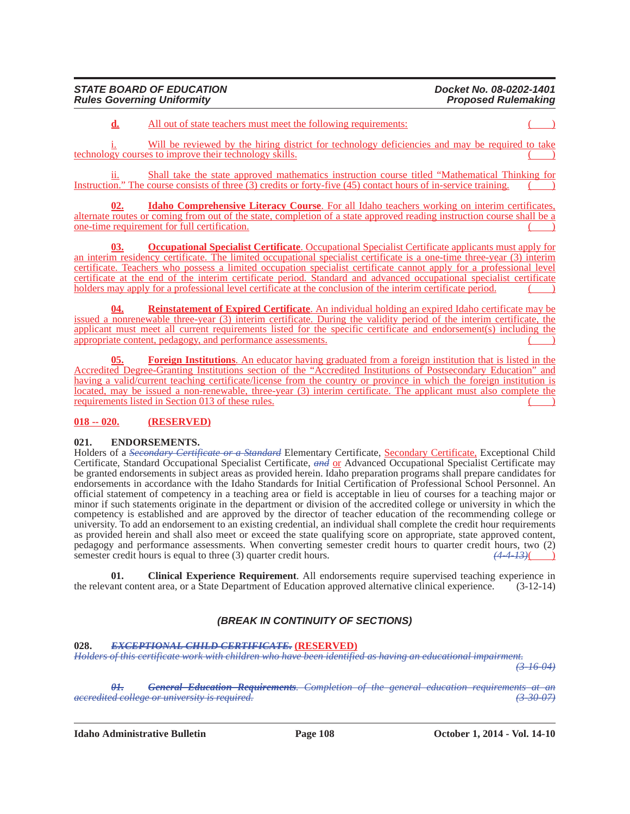| <b>STATE BOARD OF EDUCATION</b>   | Docket No. 08-0202-1401    |
|-----------------------------------|----------------------------|
| <b>Rules Governing Uniformity</b> | <b>Proposed Rulemaking</b> |

**d.** All out of state teachers must meet the following requirements:

i. Will be reviewed by the hiring district for technology deficiencies and may be required to take technology courses to improve their technology skills. ( )

ii. Shall take the state approved mathematics instruction course titled "Mathematical Thinking for Instruction." The course consists of three  $(3)$  credits or forty-five  $(45)$  contact hours of in-service training.

**02. Idaho Comprehensive Literacy Course**. For all Idaho teachers working on interim certificates, alternate routes or coming from out of the state, completion of a state approved reading instruction course shall be a one-time requirement for full certification.

**03. Occupational Specialist Certificate**. Occupational Specialist Certificate applicants must apply for an interim residency certificate. The limited occupational specialist certificate is a one-time three-year (3) interim certificate. Teachers who possess a limited occupation specialist certificate cannot apply for a professional level certificate at the end of the interim certificate period. Standard and advanced occupational specialist certificate holders may apply for a professional level certificate at the conclusion of the interim certificate period.

**04. Reinstatement of Expired Certificate**. An individual holding an expired Idaho certificate may be issued a nonrenewable three-year (3) interim certificate. During the validity period of the interim certificate, the applicant must meet all current requirements listed for the specific certificate and endorsement(s) including the appropriate content, pedagogy, and performance assessments. ( )

**Foreign Institutions**. An educator having graduated from a foreign institution that is listed in the Accredited Degree-Granting Institutions section of the "Accredited Institutions of Postsecondary Education" and having a valid/current teaching certificate/license from the country or province in which the foreign institution is located, may be issued a non-renewable, three-year (3) interim certificate. The applicant must also complete the requirements listed in Section 013 of these rules.

# **018 -- 020. (RESERVED)**

### **021. ENDORSEMENTS.**

Holders of a *Secondary Certificate or a Standard* Elementary Certificate, Secondary Certificate, Exceptional Child Certificate, Standard Occupational Specialist Certificate, *and* or Advanced Occupational Specialist Certificate may be granted endorsements in subject areas as provided herein. Idaho preparation programs shall prepare candidates for endorsements in accordance with the Idaho Standards for Initial Certification of Professional School Personnel. An official statement of competency in a teaching area or field is acceptable in lieu of courses for a teaching major or minor if such statements originate in the department or division of the accredited college or university in which the competency is established and are approved by the director of teacher education of the recommending college or university. To add an endorsement to an existing credential, an individual shall complete the credit hour requirements as provided herein and shall also meet or exceed the state qualifying score on appropriate, state approved content, pedagogy and performance assessments. When converting semester credit hours to quarter credit hours, two (2) semester credit hours is equal to three (3) quarter credit hours.  $\left(4-4-13\right)$ 

**01.** Clinical Experience Requirement. All endorsements require supervised teaching experience in ant content area, or a State Department of Education approved alternative clinical experience. (3-12-14) the relevant content area, or a State Department of Education approved alternative clinical experience.

# *(BREAK IN CONTINUITY OF SECTIONS)*

#### **028.** *EXCEPTIONAL CHILD CERTIFICATE.* **(RESERVED)**

*Holders of this certificate work with children who have been identified as having an educational impairment. (3-16-04)*

*01. General Education Requirements. Completion of the general education requirements at an accredited college or university is required. (3-30-07)*

**Idaho Administrative Bulletin Page 108 October 1, 2014 - Vol. 14-10**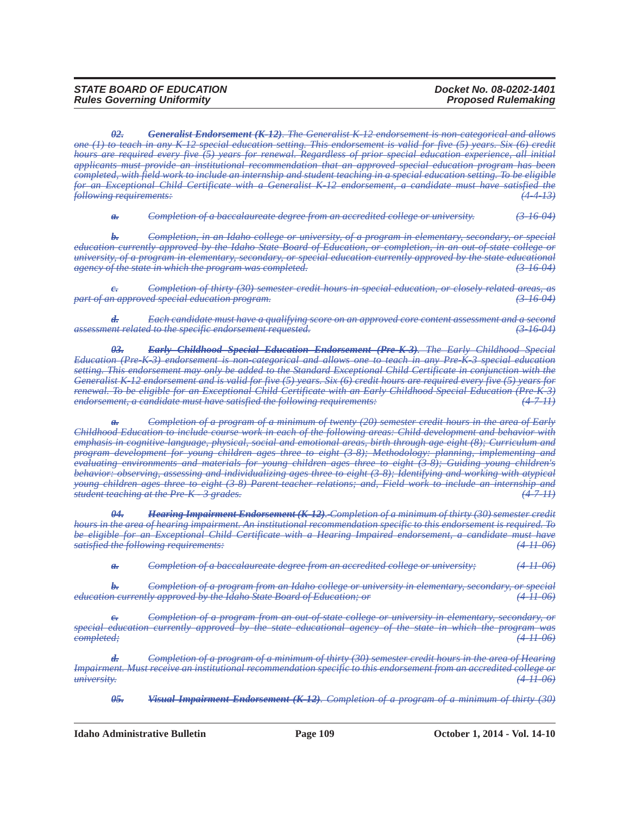*02. Generalist Endorsement (K-12). The Generalist K-12 endorsement is non-categorical and allows one (1) to teach in any K-12 special education setting. This endorsement is valid for five (5) years. Six (6) credit hours are required every five (5) years for renewal. Regardless of prior special education experience, all initial applicants must provide an institutional recommendation that an approved special education program has been completed, with field work to include an internship and student teaching in a special education setting. To be eligible for an Exceptional Child Certificate with a Generalist K-12 endorsement, a candidate must have satisfied the following requirements: (4-4-13)*

*a. Completion of a baccalaureate degree from an accredited college or university. (3-16-04)*

*b. Completion, in an Idaho college or university, of a program in elementary, secondary, or special education currently approved by the Idaho State Board of Education, or completion, in an out-of-state college or university, of a program in elementary, secondary, or special education currently approved by the state educational agency of the state in which the program was completed. (3-16-04)*

*c. Completion of thirty (30) semester credit hours in special education, or closely related areas, as part of an approved special education program. (3-16-04)*

*d. Each candidate must have a qualifying score on an approved core content assessment and a second assessment related to the specific endorsement requested. (3-16-04)*

*03. Early Childhood Special Education Endorsement (Pre-K-3). The Early Childhood Special Education (Pre-K-3) endorsement is non-categorical and allows one to teach in any Pre-K-3 special education setting. This endorsement may only be added to the Standard Exceptional Child Certificate in conjunction with the Generalist K-12 endorsement and is valid for five (5) years. Six (6) credit hours are required every five (5) years for renewal. To be eligible for an Exceptional Child Certificate with an Early Childhood Special Education (Pre-K-3) endorsement, a candidate must have satisfied the following requirements:* 

*Completion of a program of a minimum of twenty (20) semester credit hours in the area of Early Childhood Education to include course work in each of the following areas: Child development and behavior with emphasis in cognitive-language, physical, social and emotional areas, birth through age eight (8); Curriculum and program development for young children ages three to eight (3-8); Methodology: planning, implementing and evaluating environments and materials for young children ages three to eight (3-8); Guiding young children's behavior: observing, assessing and individualizing ages three to eight (3-8); Identifying and working with atypical young children ages three to eight (3-8) Parent-teacher relations; and, Field work to include an internship and student teaching at the Pre-K - 3 grades. (4-7-11)*

*04. Hearing Impairment Endorsement (K-12). Completion of a minimum of thirty (30) semester credit hours in the area of hearing impairment. An institutional recommendation specific to this endorsement is required. To be eligible for an Exceptional Child Certificate with a Hearing Impaired endorsement, a candidate must have satisfied the following requirements: (4-11-06)*

*a. Completion of a baccalaureate degree from an accredited college or university; (4-11-06)*

*b. Completion of a program from an Idaho college or university in elementary, secondary, or special education currently approved by the Idaho State Board of Education; or (4-11-06)*

*Completion of a program from an out-of-state college or university in elementary, secondary, or special education currently approved by the state educational agency of the state in which the program was completed; (4-11-06)*

*d. Completion of a program of a minimum of thirty (30) semester credit hours in the area of Hearing Impairment. Must receive an institutional recommendation specific to this endorsement from an accredited college or* <br> *university*: (4-11-06) *university. (4-11-06)*

*05. Visual Impairment Endorsement (K-12). Completion of a program of a minimum of thirty (30)*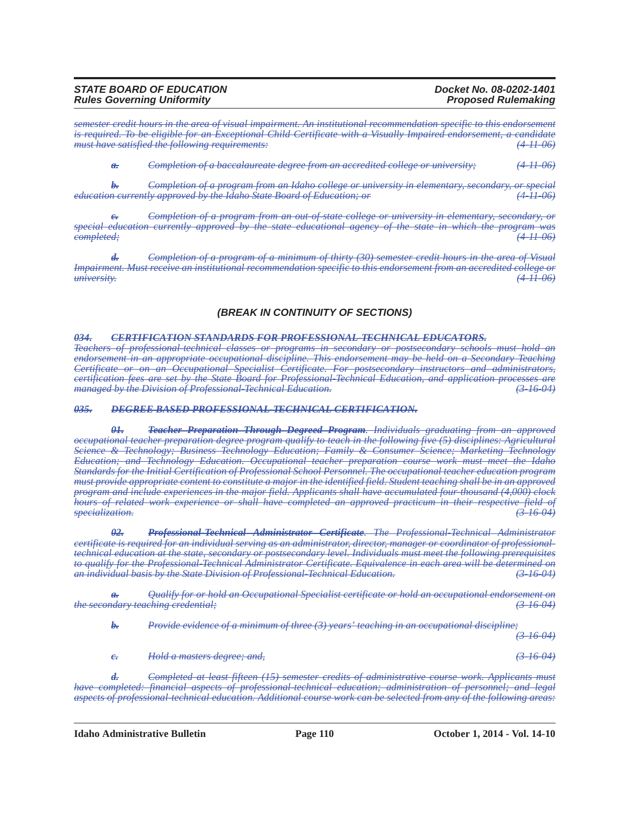| <b>STATE BOARD OF EDUCATION</b>   | Docket No. 08-0202-1401    |
|-----------------------------------|----------------------------|
| <b>Rules Governing Uniformity</b> | <b>Proposed Rulemaking</b> |

*semester credit hours in the area of visual impairment. An institutional recommendation specific to this endorsement is required. To be eligible for an Exceptional Child Certificate with a Visually Impaired endorsement, a candidate must have satisfied the following requirements: (4-11-06)*

*a. Completion of a baccalaureate degree from an accredited college or university; (4-11-06)*

*b. Completion of a program from an Idaho college or university in elementary, secondary, or special education currently approved by the Idaho State Board of Education; or (4-11-06)*

*c. Completion of a program from an out-of-state college or university in elementary, secondary, or special education currently approved by the state educational agency of the state in which the program was completed; (4-11-06)*

*d. Completion of a program of a minimum of thirty (30) semester credit hours in the area of Visual Impairment. Must receive an institutional recommendation specific to this endorsement from an accredited college or university. (4-11-06)*

#### *(BREAK IN CONTINUITY OF SECTIONS)*

#### *034. CERTIFICATION STANDARDS FOR PROFESSIONAL-TECHNICAL EDUCATORS.*

*Teachers of professional-technical classes or programs in secondary or postsecondary schools must hold an endorsement in an appropriate occupational discipline. This endorsement may be held on a Secondary Teaching Certificate or on an Occupational Specialist Certificate. For postsecondary instructors and administrators, certification fees are set by the State Board for Professional-Technical Education, and application processes are*<br>*managed by the Division of Professional-Technical Education. managed by the Division of Professional-Technical Education. (3-16-04)*

#### *035. DEGREE BASED PROFESSIONAL-TECHNICAL CERTIFICATION.*

*01. Teacher Preparation Through Degreed Program. Individuals graduating from an approved occupational teacher preparation degree program qualify to teach in the following five (5) disciplines: Agricultural Science & Technology; Business Technology Education; Family & Consumer Science; Marketing Technology Education; and Technology Education. Occupational teacher preparation course work must meet the Idaho Standards for the Initial Certification of Professional School Personnel. The occupational teacher education program must provide appropriate content to constitute a major in the identified field. Student teaching shall be in an approved program and include experiences in the major field. Applicants shall have accumulated four-thousand (4,000) clock hours of related work experience or shall have completed an approved practicum in their respective field of specialization. (3-16-04)*

*02. Professional-Technical Administrator Certificate. The Professional-Technical Administrator certificate is required for an individual serving as an administrator, director, manager or coordinator of professionaltechnical education at the state, secondary or postsecondary level. Individuals must meet the following prerequisites to qualify for the Professional-Technical Administrator Certificate. Equivalence in each area will be determined on an individual basis by the State Division of Professional-Technical Education. (3-16-04)*

*a. Qualify for or hold an Occupational Specialist certificate or hold an occupational endorsement on the secondary teaching credential; (3-16-04)*

*b. Provide evidence of a minimum of three (3) years' teaching in an occupational discipline;*

*(3-16-04)*

*c. Hold a masters degree; and, (3-16-04)*

*d. Completed at least fifteen (15) semester credits of administrative course work. Applicants must have completed: financial aspects of professional-technical education; administration of personnel; and legal aspects of professional-technical education. Additional course work can be selected from any of the following areas:*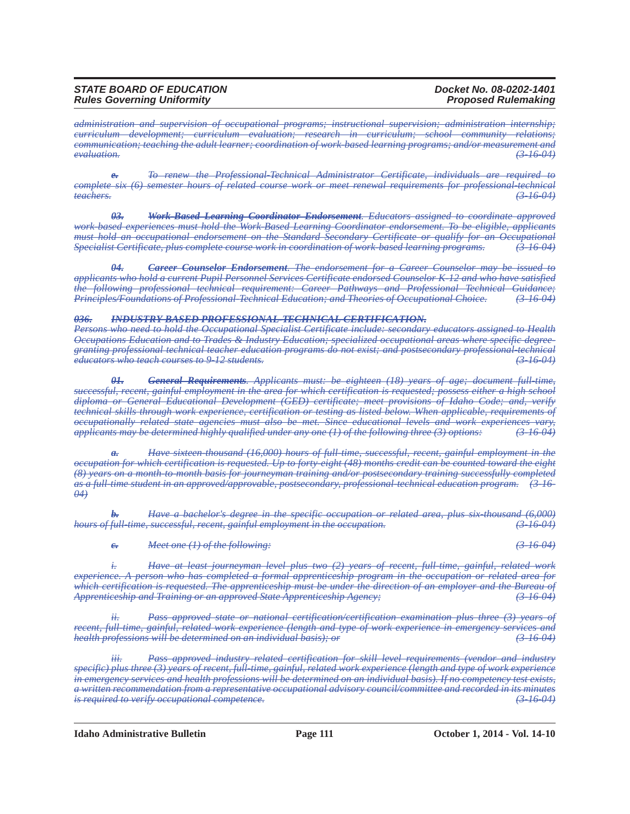*administration and supervision of occupational programs; instructional supervision; administration internship; curriculum development; curriculum evaluation; research in curriculum; school community relations; communication; teaching the adult learner; coordination of work-based learning programs; and/or measurement and evaluation. (3-16-04)*

*e. To renew the Professional-Technical Administrator Certificate, individuals are required to complete six (6) semester hours of related course work or meet renewal requirements for professional-technical*<br>*teachers*: (3) 16–04 *teachers. (3-16-04)*

*03. Work-Based Learning Coordinator Endorsement. Educators assigned to coordinate approved work-based experiences must hold the Work-Based Learning Coordinator endorsement. To be eligible, applicants must hold an occupational endorsement on the Standard Secondary Certificate or qualify for an Occupational Specialist Certificate, plus complete course work in coordination of work-based learning programs. (3-16-04)*

*04. Career Counselor Endorsement. The endorsement for a Career Counselor may be issued to applicants who hold a current Pupil Personnel Services Certificate endorsed Counselor K-12 and who have satisfied the following professional technical requirement: Career Pathways and Professional Technical Guidance; Principles/Foundations of Professional-Technical Education; and Theories of Occupational Choice. (3-16-04)*

# *036. INDUSTRY BASED PROFESSIONAL-TECHNICAL CERTIFICATION.*

*Persons who need to hold the Occupational Specialist Certificate include: secondary educators assigned to Health Occupations Education and to Trades & Industry Education; specialized occupational areas where specific degreegranting professional technical teacher education programs do not exist; and postsecondary professional-technical educators who teach courses to 9-12 students. (3-16-04)*

*01. General Requirements. Applicants must: be eighteen (18) years of age; document full-time, successful, recent, gainful employment in the area for which certification is requested; possess either a high school diploma or General Educational Development (GED) certificate; meet provisions of Idaho Code; and, verify technical skills through work experience, certification or testing as listed below. When applicable, requirements of occupationally related state agencies must also be met. Since educational levels and work experiences vary, applicants may be determined highly qualified under any one (1) of the following three (3) options: (3-16-04)*

*Have sixteen-thousand (16,000) hours of full-time, successful, recent, gainful employment in the occupation for which certification is requested. Up to forty-eight (48) months credit can be counted toward the eight (8) years on a month-to-month basis for journeyman training and/or postsecondary training successfully completed as a full-time student in an approved/approvable, postsecondary, professional-technical education program. (3-16- 04)*

*b. Have a bachelor's degree in the specific occupation or related area, plus six-thousand (6,000) hours of full-time, successful, recent, gainful employment in the occupation. (3-16-04)*

*c. Meet one (1) of the following: (3-16-04)*

*i. Have at least journeyman level plus two (2) years of recent, full-time, gainful, related work experience. A person who has completed a formal apprenticeship program in the occupation or related area for*  which certification is requested. The apprenticeship must be under the direction of an employer and the Bureau of *Apprenticeship and Training or an approved State Apprenticeship Agency; (3-16-04)*

*ii. Pass approved state or national certification/certification examination plus three (3) years of recent, full time, gainful, related work experience (length and type of work experience in emergency services and health professions will be determined on an individual basis); or (3-16-04)*

*iii. Pass approved industry related certification for skill level requirements (vendor and industry specific) plus three (3) years of recent, full-time, gainful, related work experience (length and type of work experience in emergency services and health professions will be determined on an individual basis). If no competency test exists, a written recommendation from a representative occupational advisory council/committee and recorded in its minutes is required to verify occupational competence. (3-16-04)*

**Idaho Administrative Bulletin Page 111 October 1, 2014 - Vol. 14-10**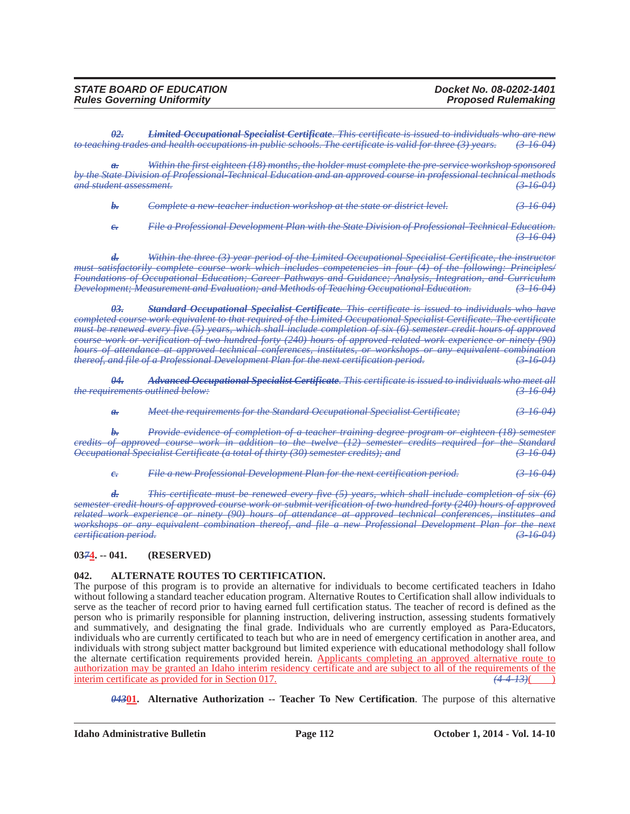| <b>STATE BOARD OF EDUCATION</b>   | Docket No. 08-0202-1401    |
|-----------------------------------|----------------------------|
| <b>Rules Governing Uniformity</b> | <b>Proposed Rulemaking</b> |

*02. Limited Occupational Specialist Certificate. This certificate is issued to individuals who are new to teaching trades and health occupations in public schools. The certificate is valid for three (3) years. (3-16-04)*

*Within the first eighteen (18) months, the holder must complete the pre-service workshop sponsored by the State Division of Professional-Technical Education and an approved course in professional technical methods and student assessment. (3-16-04)*

*b. Complete a new-teacher induction workshop at the state or district level. (3-16-04)*

*c. File a Professional Development Plan with the State Division of Professional-Technical Education. (3-16-04)*

*d. Within the three (3) year period of the Limited Occupational Specialist Certificate, the instructor must satisfactorily complete course work which includes competencies in four (4) of the following: Principles/ Foundations of Occupational Education; Career Pathways and Guidance; Analysis, Integration, and Curriculum Development; Measurement and Evaluation; and Methods of Teaching Occupational Education. (3-16-04)*

*03. Standard Occupational Specialist Certificate. This certificate is issued to individuals who have completed course work equivalent to that required of the Limited Occupational Specialist Certificate. The certificate must be renewed every five (5) years, which shall include completion of six (6) semester credit hours of approved course work or verification of two hundred-forty (240) hours of approved related work experience or ninety (90) hours of attendance at approved technical conferences, institutes, or workshops or any equivalent combination thereof, and file of a Professional Development Plan for the next certification period. (3-16-04)*

*04. Advanced Occupational Specialist Certificate. This certificate is issued to individuals who meet all the requirements outlined below: (3-16-04)*

*a. Meet the requirements for the Standard Occupational Specialist Certificate; (3-16-04)*

*b. Provide evidence of completion of a teacher training degree program or eighteen (18) semester credits of approved course work in addition to the twelve (12) semester credits required for the Standard Occupational Specialist Certificate (a total of thirty (30) semester credits); and (3-16-04)*

*c. File a new Professional Development Plan for the next certification period. (3-16-04)*

*d. This certificate must be renewed every five (5) years, which shall include completion of six (6) semester credit hours of approved course work or submit verification of two hundred-forty (240) hours of approved related work experience or ninety (90) hours of attendance at approved technical conferences, institutes and workshops or any equivalent combination thereof, and file a new Professional Development Plan for the next eertification period.* (3.16.04) *certification period. (3-16-04)*

**03***7***4. -- 041. (RESERVED)**

### **042. ALTERNATE ROUTES TO CERTIFICATION.**

The purpose of this program is to provide an alternative for individuals to become certificated teachers in Idaho without following a standard teacher education program. Alternative Routes to Certification shall allow individuals to serve as the teacher of record prior to having earned full certification status. The teacher of record is defined as the person who is primarily responsible for planning instruction, delivering instruction, assessing students formatively and summatively, and designating the final grade. Individuals who are currently employed as Para-Educators, individuals who are currently certificated to teach but who are in need of emergency certification in another area, and individuals with strong subject matter background but limited experience with educational methodology shall follow the alternate certification requirements provided herein. Applicants completing an approved alternative route to <u>authorization may be granted an Idaho interim residency certificate and are subject to all of the requirements of the interim certificate as provided for in Section 017.  $(4-4-13)($ </u> interim certificate as provided for in Section 017.

*043***01. Alternative Authorization -- Teacher To New Certification**. The purpose of this alternative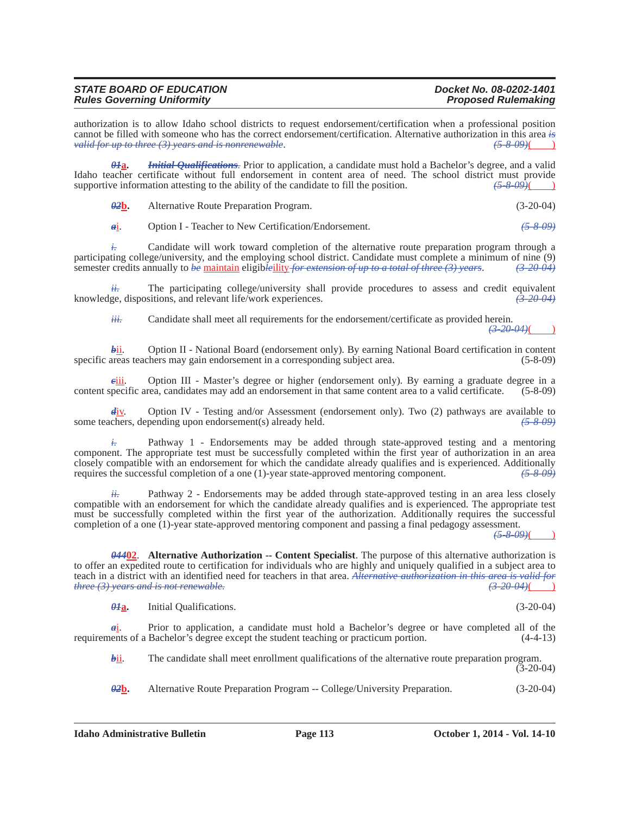| <b>STATE BOARD OF EDUCATION</b>   | Docket No. 08-0202-1401    |
|-----------------------------------|----------------------------|
| <b>Rules Governing Uniformity</b> | <b>Proposed Rulemaking</b> |

authorization is to allow Idaho school districts to request endorsement/certification when a professional position cannot be filled with someone who has the correct endorsement/certification. Alternative authorization in this area *is valid for up to three (3) years and is nonrenewable*. *(5-8-09)*( )

*01***a.** *Initial Qualifications.* Prior to application, a candidate must hold a Bachelor's degree, and a valid Idaho teacher certificate without full endorsement in content area of need. The school district must provide supportive information attesting to the ability of the candidate to fill the position.  $\frac{(5-8-09)}{(25-8-09)}$ supportive information attesting to the ability of the candidate to fill the position.

*02***b.** Alternative Route Preparation Program. (3-20-04)

*a*i. Option I - Teacher to New Certification/Endorsement. *(5-8-09)*

*i.* Candidate will work toward completion of the alternative route preparation program through a participating college/university, and the employing school district. Candidate must complete a minimum of nine (9) semester credits annually to *be* maintain eligib*le*ility *for extension of up to a total of three (3) years*. *(3-20-04)*

*ii.* The participating college/university shall provide procedures to assess and credit equivalent knowledge, dispositions, and relevant life/work experiences. *(3-20-04)*

*iii.* Candidate shall meet all requirements for the endorsement/certificate as provided herein.

 $(3-20-04)$ 

*bii.* Option II - National Board (endorsement only). By earning National Board certification in content specific areas teachers may gain endorsement in a corresponding subject area.  $(5-8-09)$ 

*c*iii. Option III - Master's degree or higher (endorsement only). By earning a graduate degree in a content specific area, candidates may add an endorsement in that same content area to a valid certificate. (5-8-09)

*d*iv. Option IV - Testing and/or Assessment (endorsement only). Two (2) pathways are available to some teachers, depending upon endorsement(s) already held. *(5-8-09)*

 $\dot{t}$  Pathway 1 - Endorsements may be added through state-approved testing and a mentoring component. The appropriate test must be successfully completed within the first year of authorization in an area closely compatible with an endorsement for which the candidate already qualifies and is experienced. Additionally requires the successful completion of a one (1)-year state-approved mentoring component. requires the successful completion of a one (1)-year state-approved mentoring component. *(5-8-09)*

Pathway 2 - Endorsements may be added through state-approved testing in an area less closely compatible with an endorsement for which the candidate already qualifies and is experienced. The appropriate test must be successfully completed within the first year of the authorization. Additionally requires the successful completion of a one (1)-year state-approved mentoring component and passing a final pedagogy assessment.

*(5-8-09)*( )

 $(3-20-04)$ 

*044***02**. **Alternative Authorization -- Content Specialist**. The purpose of this alternative authorization is to offer an expedited route to certification for individuals who are highly and uniquely qualified in a subject area to teach in a district with an identified need for teachers in that area. *Alternative authorization in this area is valid for three (3) years and is not renewable.* 

*01***a.** Initial Qualifications. (3-20-04)

*a*i. Prior to application, a candidate must hold a Bachelor's degree or have completed all of the requirements of a Bachelor's degree except the student teaching or practicum portion. (4-4-13)

*bii.* The candidate shall meet enrollment qualifications of the alternative route preparation program.

*02***b.** Alternative Route Preparation Program -- College/University Preparation. (3-20-04)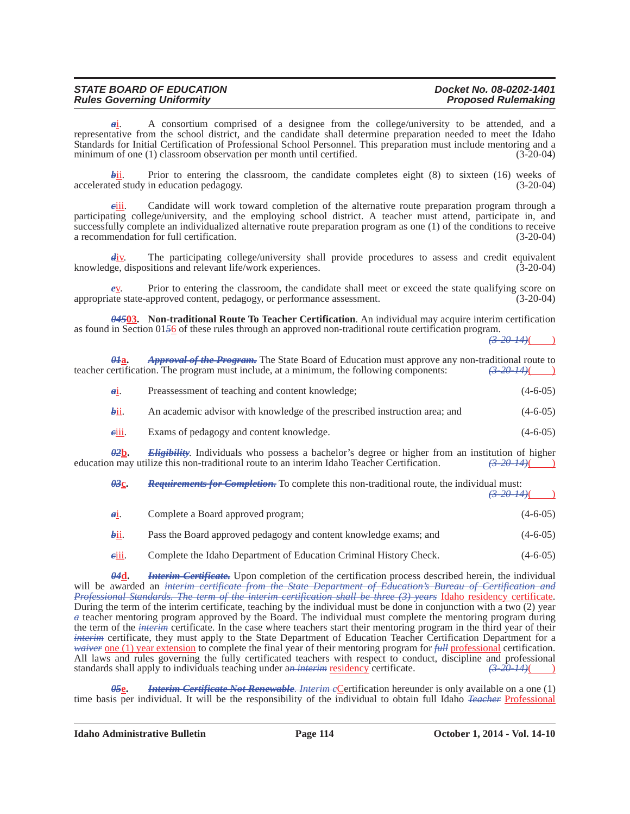| <b>STATE BOARD OF EDUCATION</b>   | Docket No. 08-0202-1401    |
|-----------------------------------|----------------------------|
| <b>Rules Governing Uniformity</b> | <b>Proposed Rulemaking</b> |

*a*i. A consortium comprised of a designee from the college/university to be attended, and a representative from the school district, and the candidate shall determine preparation needed to meet the Idaho Standards for Initial Certification of Professional School Personnel. This preparation must include mentoring and a minimum of one (1) classroom observation per month until certified. (3-20-04)

 $\frac{\partial \mathbf{h}}{\partial \mathbf{h}}$ . Prior to entering the classroom, the candidate completes eight (8) to sixteen (16) weeks of ed study in education pedagogy.  $accelerated study in education pedagogy.$ 

*c*iii. Candidate will work toward completion of the alternative route preparation program through a participating college/university, and the employing school district. A teacher must attend, participate in, and successfully complete an individualized alternative route preparation program as one (1) of the conditions to receive a recommendation for full certification. (3-20-04)

The participating college/university shall provide procedures to assess and credit equivalent knowledge, dispositions and relevant life/work experiences. (3-20-04)

*e*v. Prior to entering the classroom, the candidate shall meet or exceed the state qualifying score on appropriate state-approved content, pedagogy, or performance assessment. (3-20-04)

*045***03. Non-traditional Route To Teacher Certification**. An individual may acquire interim certification as found in Section 01*5*6 of these rules through an approved non-traditional route certification program.

 $(3-20-14)$ ()

| $\theta$ <i>H</i> a.     | <b>Approval of the Program.</b> The State Board of Education must approve any non-traditional route to<br>teacher certification. The program must include, at a minimum, the following components: | <del>(3-20-14)</del> ( |
|--------------------------|----------------------------------------------------------------------------------------------------------------------------------------------------------------------------------------------------|------------------------|
| $\mathbf{d}$ 1.          | Preassessment of teaching and content knowledge;                                                                                                                                                   | $(4-6-05)$             |
| bii.                     | An academic advisor with knowledge of the prescribed instruction area; and                                                                                                                         | $(4-6-05)$             |
| eiii.                    | Exams of pedagogy and content knowledge.                                                                                                                                                           | $(4-6-05)$             |
| $\theta$ <sub>2</sub> b. | <b>Eligibility</b> . Individuals who possess a bachelor's degree or higher from an institution of higher                                                                                           |                        |

education may utilize this non-traditional route to an interim Idaho Teacher Certification.

| $\theta$ 3 $c$ . | <b>Requirements for Completion.</b> To complete this non-traditional route, the individual must: |             |  |
|------------------|--------------------------------------------------------------------------------------------------|-------------|--|
|                  |                                                                                                  | $(3-20-14)$ |  |

| 641.    | Complete a Board approved program;                                 | $(4-6-05)$ |
|---------|--------------------------------------------------------------------|------------|
| $bii$ . | Pass the Board approved pedagogy and content knowledge exams; and  | $(4-6-05)$ |
| eiii.   | Complete the Idaho Department of Education Criminal History Check. | $(4-6-05)$ |

*04***d.** *Interim Certificate.* Upon completion of the certification process described herein, the individual will be awarded an *interim certificate from the State Department of Education's Bureau of Certification and Professional Standards. The term of the interim certification shall be three (3) years* Idaho residency certificate. During the term of the interim certificate, teaching by the individual must be done in conjunction with a two (2) year *a* teacher mentoring program approved by the Board. The individual must complete the mentoring program during the term of the *interim* certificate. In the case where teachers start their mentoring program in the third year of their *interim* certificate, they must apply to the State Department of Education Teacher Certification Department for a *waiver* one (1) year extension to complete the final year of their mentoring program for *full* professional certification. All laws and rules governing the fully certificated teachers with respect to conduct, discipline and professional standards shall apply to individuals teaching under an interim residency certificate.  $\left(3-20-14\right)$ standards shall apply to individuals teaching under a*n*-interim residency certificate.

*Interim Certificate Not Renewable. Interim e*Certification hereunder is only available on a one (1) time basis per individual. It will be the responsibility of the individual to obtain full Idaho *Teacher* Professional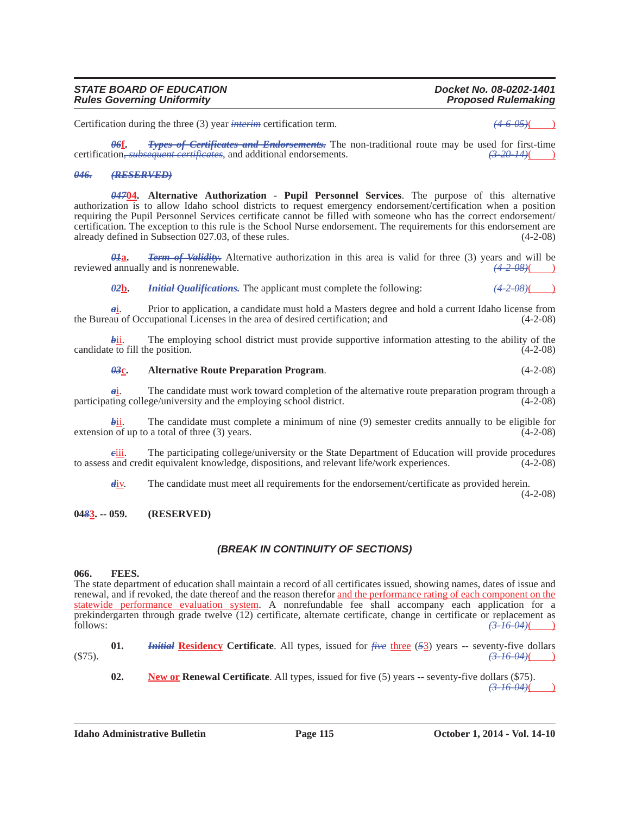**02. New or Renewal Certificate**. All types, issued for five (5) years -- seventy-five dollars (\$75).

**Idaho Administrative Bulletin Page 115 October 1, 2014 - Vol. 14-10**

# *STATE BOARD OF EDUCATION Docket No. 08-0202-1401*

Certification during the three (3) year *interim* certification term.  $(4-6-05)$ 

*06***f.** *Types of Certificates and Endorsements.* The non-traditional route may be used for first-time certification*, subsequent certificates*, and additional endorsements. *(3-20-14)*( )

#### *046. (RESERVED)*

*Rules Governing Uniformity* 

*047***04. Alternative Authorization - Pupil Personnel Services**. The purpose of this alternative authorization is to allow Idaho school districts to request emergency endorsement/certification when a position requiring the Pupil Personnel Services certificate cannot be filled with someone who has the correct endorsement/ certification. The exception to this rule is the School Nurse endorsement. The requirements for this endorsement are already defined in Subsection 027.03, of these rules. (4-2-08)

*01***a.** *Term of Validity.* Alternative authorization in this area is valid for three (3) years and will be reviewed annually and is nonrenewable.  $(4-2-0.08)$ 

*02***b.** *Initial Qualifications.* The applicant must complete the following: *(4-2-08)*( )

*a*i. Prior to application, a candidate must hold a Masters degree and hold a current Idaho license from the Bureau of Occupational Licenses in the area of desired certification; and (4-2-08)

**bight** The employing school district must provide supportive information attesting to the ability of the e to fill the position. (4-2-08) candidate to fill the position.

# *03***c. Alternative Route Preparation Program**. (4-2-08)

*a*<sup>i</sup>. The candidate must work toward completion of the alternative route preparation program through a ting college/university and the employing school district. (4-2-08) participating college/university and the employing school district.

 $\frac{\partial \mathbf{h}}{\partial \mathbf{h}}$ . The candidate must complete a minimum of nine (9) semester credits annually to be eligible for 1 of up to a total of three (3) years. extension of up to a total of three  $(3)$  years.

*c*iii. The participating college/university or the State Department of Education will provide procedures to assess and credit equivalent knowledge, dispositions, and relevant life/work experiences. (4-2-08)

*d*<sub>iv</sub>. The candidate must meet all requirements for the endorsement/certificate as provided herein.

(4-2-08)

# *(BREAK IN CONTINUITY OF SECTIONS)*

### **066. FEES.**

**04***8***3. -- 059. (RESERVED)**

The state department of education shall maintain a record of all certificates issued, showing names, dates of issue and renewal, and if revoked, the date thereof and the reason therefor and the performance rating of each component on the statewide performance evaluation system. A nonrefundable fee shall accompany each application for a prekindergarten through grade twelve (12) certificate, alternate certificate, change in certificate or replacement as follows: *(3-16-04)*( )

**01.** *Initial* **Residency Certificate**. All types, issued for *five* three (*5*3) years -- seventy-five dollars (\$75). *(3-16-04)*( )

*(3-16-04)*( )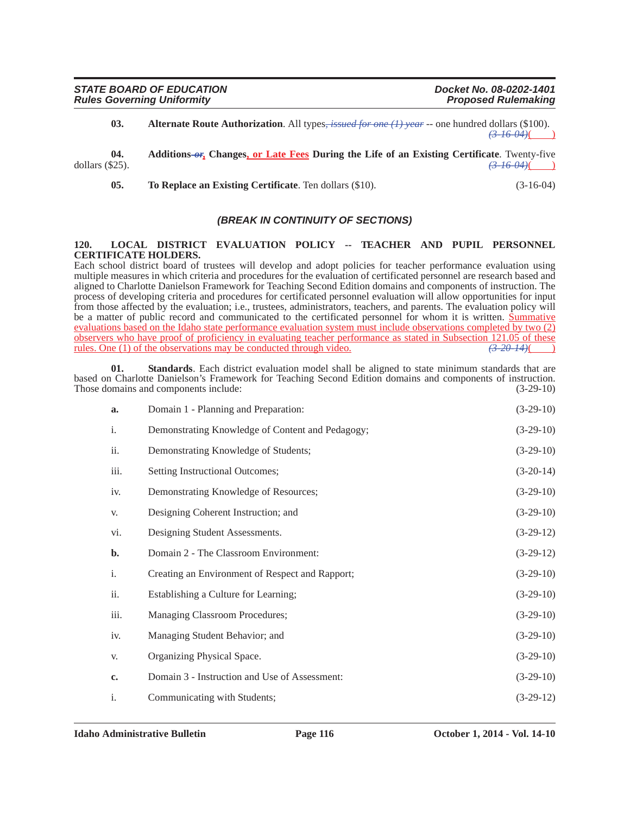**03. Alternate Route Authorization**. All types*, issued for one (1) year* -- one hundred dollars (\$100).  $(3-16-04)$ ( )

**04.** Additions- $\sigma$ , Changes, or Late Fees During the Life of an Existing Certificate. Twenty-five dollars (\$25).  $\left(3\right.16\left.04\right)\left($  )

**05.** To Replace an Existing Certificate. Ten dollars (\$10). (3-16-04)

# *(BREAK IN CONTINUITY OF SECTIONS)*

#### **120. LOCAL DISTRICT EVALUATION POLICY -- TEACHER AND PUPIL PERSONNEL CERTIFICATE HOLDERS.**

Each school district board of trustees will develop and adopt policies for teacher performance evaluation using multiple measures in which criteria and procedures for the evaluation of certificated personnel are research based and aligned to Charlotte Danielson Framework for Teaching Second Edition domains and components of instruction. The process of developing criteria and procedures for certificated personnel evaluation will allow opportunities for input from those affected by the evaluation; i.e., trustees, administrators, teachers, and parents. The evaluation policy will be a matter of public record and communicated to the certificated personnel for whom it is written. Summative evaluations based on the Idaho state performance evaluation system must include observations completed by two (2) observers who have proof of proficiency in evaluating teacher performance as stated in Subsection 121.05 of these rules. One (1) of the observations may be conducted through video. *(3-20-14)*( )

**01. Standards**. Each district evaluation model shall be aligned to state minimum standards that are based on Charlotte Danielson's Framework for Teaching Second Edition domains and components of instruction. Those domains and components include: (3-29-10) (3-29-10)

| a.             | Domain 1 - Planning and Preparation:             | $(3-29-10)$ |
|----------------|--------------------------------------------------|-------------|
| $\mathbf{i}$ . | Demonstrating Knowledge of Content and Pedagogy; | $(3-29-10)$ |
| ii.            | Demonstrating Knowledge of Students;             | $(3-29-10)$ |
| iii.           | Setting Instructional Outcomes;                  | $(3-20-14)$ |
| iv.            | Demonstrating Knowledge of Resources;            | $(3-29-10)$ |
| V.             | Designing Coherent Instruction; and              | $(3-29-10)$ |
| vi.            | Designing Student Assessments.                   | $(3-29-12)$ |
| $\mathbf{b}$ . | Domain 2 - The Classroom Environment:            | $(3-29-12)$ |
| $\mathbf{i}$ . | Creating an Environment of Respect and Rapport;  | $(3-29-10)$ |
| ii.            | Establishing a Culture for Learning;             | $(3-29-10)$ |
| iii.           | Managing Classroom Procedures;                   | $(3-29-10)$ |
| iv.            | Managing Student Behavior; and                   | $(3-29-10)$ |
| V.             | Organizing Physical Space.                       | $(3-29-10)$ |
| c.             | Domain 3 - Instruction and Use of Assessment:    | $(3-29-10)$ |
| $\mathbf{i}$ . | Communicating with Students;                     | $(3-29-12)$ |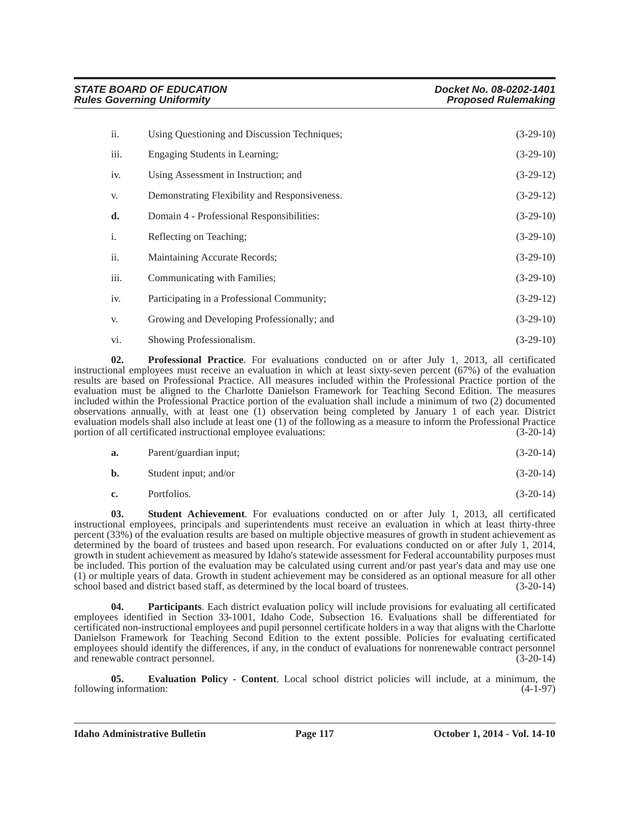| ii.  | Using Questioning and Discussion Techniques;  | $(3-29-10)$ |
|------|-----------------------------------------------|-------------|
| iii. | Engaging Students in Learning;                | $(3-29-10)$ |
| iv.  | Using Assessment in Instruction; and          | $(3-29-12)$ |
| V.   | Demonstrating Flexibility and Responsiveness. | $(3-29-12)$ |
| d.   | Domain 4 - Professional Responsibilities:     | $(3-29-10)$ |
| i.   | Reflecting on Teaching;                       | $(3-29-10)$ |
| ii.  | Maintaining Accurate Records;                 | $(3-29-10)$ |
| iii. | Communicating with Families;                  | $(3-29-10)$ |
| iv.  | Participating in a Professional Community;    | $(3-29-12)$ |
| V.   | Growing and Developing Professionally; and    | $(3-29-10)$ |
| vi.  | Showing Professionalism.                      | $(3-29-10)$ |

**02. Professional Practice**. For evaluations conducted on or after July 1, 2013, all certificated instructional employees must receive an evaluation in which at least sixty-seven percent (67%) of the evaluation results are based on Professional Practice. All measures included within the Professional Practice portion of the evaluation must be aligned to the Charlotte Danielson Framework for Teaching Second Edition. The measures included within the Professional Practice portion of the evaluation shall include a minimum of two (2) documented observations annually, with at least one (1) observation being completed by January 1 of each year. District evaluation models shall also include at least one (1) of the following as a measure to inform the Professional Practice portion of all certificated instructional employee evaluations: (3-20-14)

| <b>a.</b> | Parent/guardian input; | $(3-20-14)$ |
|-----------|------------------------|-------------|
| b.        | Student input; and/or  | $(3-20-14)$ |

**c.** Portfolios. (3-20-14)

**03. Student Achievement**. For evaluations conducted on or after July 1, 2013, all certificated instructional employees, principals and superintendents must receive an evaluation in which at least thirty-three percent (33%) of the evaluation results are based on multiple objective measures of growth in student achievement as determined by the board of trustees and based upon research. For evaluations conducted on or after July 1, 2014, growth in student achievement as measured by Idaho's statewide assessment for Federal accountability purposes must be included. This portion of the evaluation may be calculated using current and/or past year's data and may use one (1) or multiple years of data. Growth in student achievement may be considered as an optional measure for all other school based and district based staff, as determined by the local board of trustees.

**Participants**. Each district evaluation policy will include provisions for evaluating all certificated employees identified in Section 33-1001, Idaho Code, Subsection 16. Evaluations shall be differentiated for certificated non-instructional employees and pupil personnel certificate holders in a way that aligns with the Charlotte Danielson Framework for Teaching Second Edition to the extent possible. Policies for evaluating certificated employees should identify the differences, if any, in the conduct of evaluations for nonrenewable contract personnel and renewable contract personnel. (3-20-14)

**05. Evaluation Policy - Content**. Local school district policies will include, at a minimum, the g information: (4-1-97) following information:

**Idaho Administrative Bulletin Page 117 October 1, 2014 - Vol. 14-10**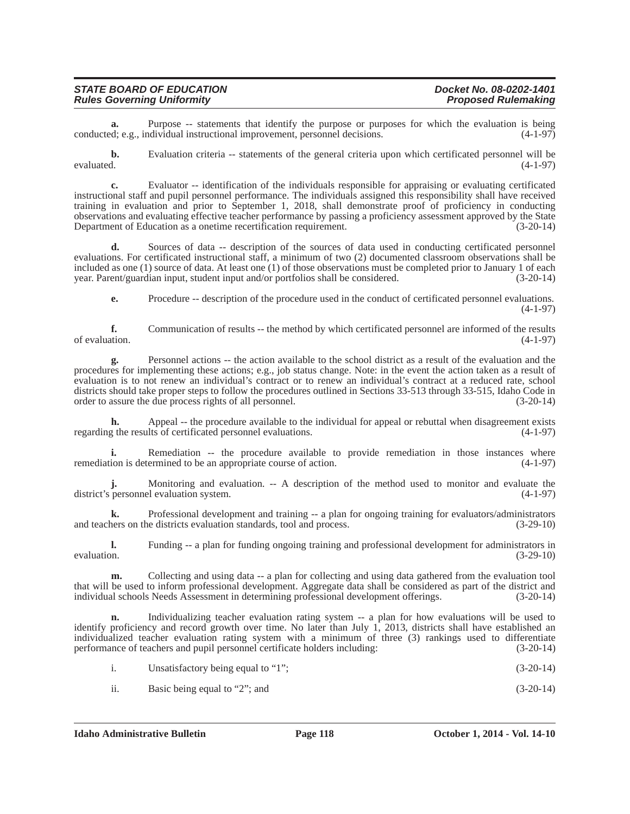| <b>STATE BOARD OF EDUCATION</b>   | Docket No. 08-0202-1401    |
|-----------------------------------|----------------------------|
| <b>Rules Governing Uniformity</b> | <b>Proposed Rulemaking</b> |

**a.** Purpose -- statements that identify the purpose or purposes for which the evaluation is being d: e.g., individual instructional improvement, personnel decisions. (4-1-97) conducted; e.g., individual instructional improvement, personnel decisions.

**b.** Evaluation criteria -- statements of the general criteria upon which certificated personnel will be evaluated.  $(4-1-97)$ evaluated.  $(4-1-97)$ 

**c.** Evaluator -- identification of the individuals responsible for appraising or evaluating certificated instructional staff and pupil personnel performance. The individuals assigned this responsibility shall have received training in evaluation and prior to September 1, 2018, shall demonstrate proof of proficiency in conducting observations and evaluating effective teacher performance by passing a proficiency assessment approved by the State Department of Education as a onetime recertification requirement. (3-20-14)

**d.** Sources of data -- description of the sources of data used in conducting certificated personnel evaluations. For certificated instructional staff, a minimum of two (2) documented classroom observations shall be included as one (1) source of data. At least one (1) of those observations must be completed prior to January 1 of each year. Parent/guardian input, student input and/or portfolios shall be considered. (3-20-14)

**e.** Procedure -- description of the procedure used in the conduct of certificated personnel evaluations.  $(4-1-97)$ 

**f.** Communication of results -- the method by which certificated personnel are informed of the results of evaluation.  $(4-1-97)$ of evaluation.  $(4-1-97)$ 

**g.** Personnel actions -- the action available to the school district as a result of the evaluation and the procedures for implementing these actions; e.g., job status change. Note: in the event the action taken as a result of evaluation is to not renew an individual's contract or to renew an individual's contract at a reduced rate, school districts should take proper steps to follow the procedures outlined in Sections 33-513 through 33-515, Idaho Code in order to assure the due process rights of all personnel. (3-20-14) order to assure the due process rights of all personnel.

**h.** Appeal -- the procedure available to the individual for appeal or rebuttal when disagreement exists of certificated personnel evaluations. (4-1-97) regarding the results of certificated personnel evaluations.

**i.** Remediation -- the procedure available to provide remediation in those instances where remediation is determined to be an appropriate course of action. (4-1-97)

**j.** Monitoring and evaluation. -- A description of the method used to monitor and evaluate the district's personnel evaluation system. (4-1-97)

**k.** Professional development and training -- a plan for ongoing training for evaluators/administrators ners on the districts evaluation standards, tool and process.  $(3-29-10)$ and teachers on the districts evaluation standards, tool and process.

**l.** Funding -- a plan for funding ongoing training and professional development for administrators in evaluation. (3-29-10)

**m.** Collecting and using data -- a plan for collecting and using data gathered from the evaluation tool that will be used to inform professional development. Aggregate data shall be considered as part of the district and individual schools Needs Assessment in determining professional development offerings. (3-20-14)

**n.** Individualizing teacher evaluation rating system -- a plan for how evaluations will be used to identify proficiency and record growth over time. No later than July 1, 2013, districts shall have established an individualized teacher evaluation rating system with a minimum of three (3) rankings used to differentiate performance of teachers and pupil personnel certificate holders including: (3-20-14)

| $(3-20-14)$<br>Unsatisfactory being equal to "1"; |
|---------------------------------------------------|
|---------------------------------------------------|

ii. Basic being equal to "2"; and  $(3-20-14)$